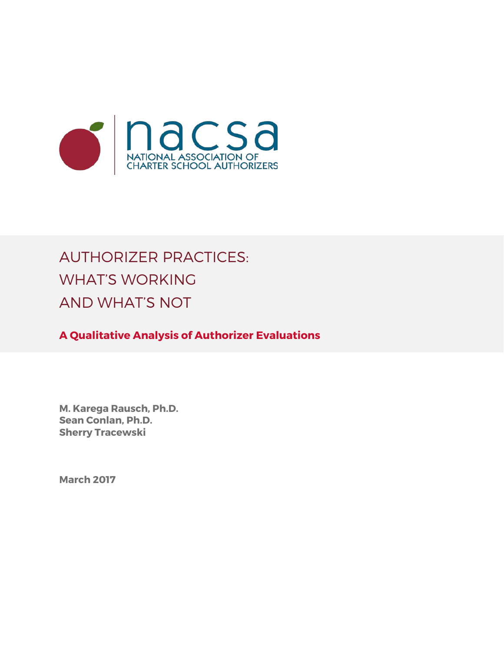

# AUTHORIZER PRACTICES: WHAT'S WORKING AND WHAT'S NOT

**A Qualitative Analysis of Authorizer Evaluations**

**M. Karega Rausch, Ph.D. Sean Conlan, Ph.D. Sherry Tracewski**

**March 2017**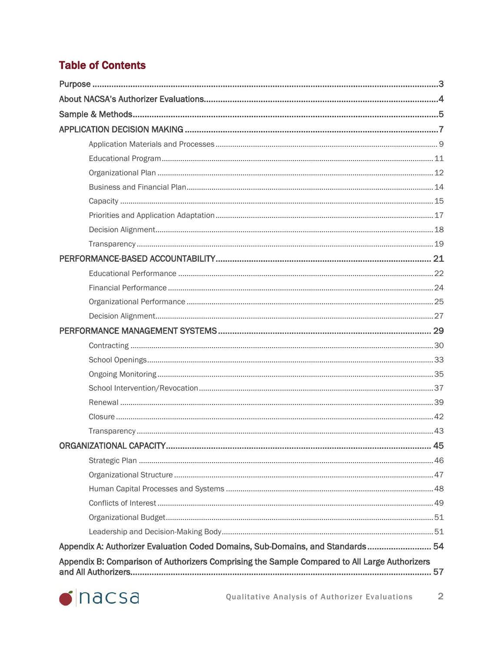### **Table of Contents**

| ORGANIZATIONAL CAPACITY<br>45                                                                       |
|-----------------------------------------------------------------------------------------------------|
|                                                                                                     |
|                                                                                                     |
|                                                                                                     |
|                                                                                                     |
|                                                                                                     |
|                                                                                                     |
| Appendix A: Authorizer Evaluation Coded Domains, Sub-Domains, and Standards 54                      |
| Appendix B: Comparison of Authorizers Comprising the Sample Compared to All Large Authorizers<br>57 |

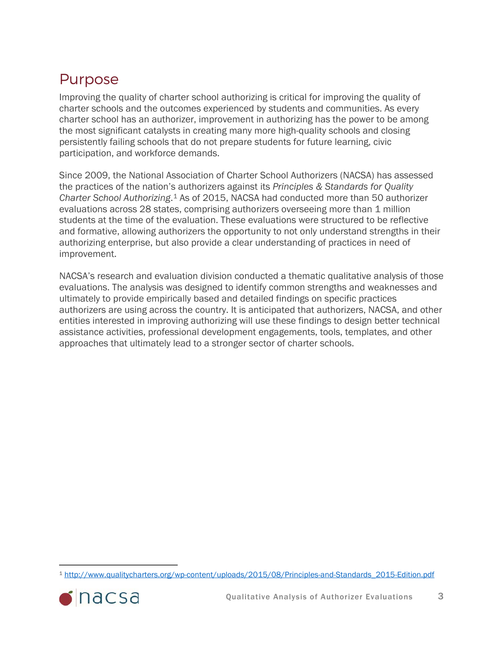## <span id="page-2-0"></span>Purpose

Improving the quality of charter school authorizing is critical for improving the quality of charter schools and the outcomes experienced by students and communities. As every charter school has an authorizer, improvement in authorizing has the power to be among the most significant catalysts in creating many more high-quality schools and closing persistently failing schools that do not prepare students for future learning, civic participation, and workforce demands.

Since 2009, the National Association of Charter School Authorizers (NACSA) has assessed the practices of the nation's authorizers against its *Principles & Standards for Quality Charter School Authorizing*.[1](#page-2-1) As of 2015, NACSA had conducted more than 50 authorizer evaluations across 28 states, comprising authorizers overseeing more than 1 million students at the time of the evaluation. These evaluations were structured to be reflective and formative, allowing authorizers the opportunity to not only understand strengths in their authorizing enterprise, but also provide a clear understanding of practices in need of improvement.

NACSA's research and evaluation division conducted a thematic qualitative analysis of those evaluations. The analysis was designed to identify common strengths and weaknesses and ultimately to provide empirically based and detailed findings on specific practices authorizers are using across the country. It is anticipated that authorizers, NACSA, and other entities interested in improving authorizing will use these findings to design better technical assistance activities, professional development engagements, tools, templates, and other approaches that ultimately lead to a stronger sector of charter schools.

<span id="page-2-1"></span> <sup>1</sup> [http://www.qualitycharters.org/wp-content/uploads/2015/08/Principles-and-Standards\\_2015-Edition.pdf](http://www.qualitycharters.org/wp-content/uploads/2015/08/Principles-and-Standards_2015-Edition.pdf)

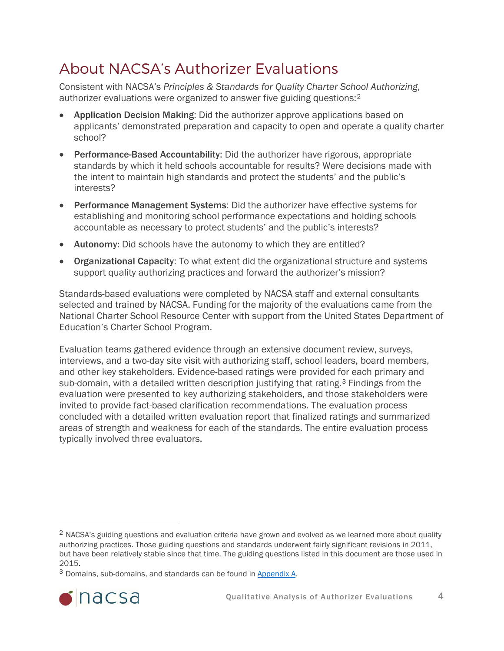## <span id="page-3-0"></span>About NACSA's Authorizer Evaluations

Consistent with NACSA's *Principles & Standards for Quality Charter School Authorizing*, authorizer evaluations were organized to answer five guiding questions:[2](#page-3-1)

- Application Decision Making: Did the authorizer approve applications based on applicants' demonstrated preparation and capacity to open and operate a quality charter school?
- Performance-Based Accountability: Did the authorizer have rigorous, appropriate standards by which it held schools accountable for results? Were decisions made with the intent to maintain high standards and protect the students' and the public's interests?
- Performance Management Systems: Did the authorizer have effective systems for establishing and monitoring school performance expectations and holding schools accountable as necessary to protect students' and the public's interests?
- Autonomy: Did schools have the autonomy to which they are entitled?
- Organizational Capacity: To what extent did the organizational structure and systems support quality authorizing practices and forward the authorizer's mission?

Standards-based evaluations were completed by NACSA staff and external consultants selected and trained by NACSA. Funding for the majority of the evaluations came from the National Charter School Resource Center with support from the United States Department of Education's Charter School Program.

Evaluation teams gathered evidence through an extensive document review, surveys, interviews, and a two-day site visit with authorizing staff, school leaders, board members, and other key stakeholders. Evidence-based ratings were provided for each primary and sub-domain, with a detailed written description justifying that rating.<sup>[3](#page-3-2)</sup> Findings from the evaluation were presented to key authorizing stakeholders, and those stakeholders were invited to provide fact-based clarification recommendations. The evaluation process concluded with a detailed written evaluation report that finalized ratings and summarized areas of strength and weakness for each of the standards. The entire evaluation process typically involved three evaluators.

<span id="page-3-2"></span><sup>3</sup> Domains, sub-domains, and standards can be found in [Appendix A.](#page-53-0)



<span id="page-3-1"></span><sup>&</sup>lt;sup>2</sup> NACSA's guiding questions and evaluation criteria have grown and evolved as we learned more about quality authorizing practices. Those guiding questions and standards underwent fairly significant revisions in 2011, but have been relatively stable since that time. The guiding questions listed in this document are those used in 2015.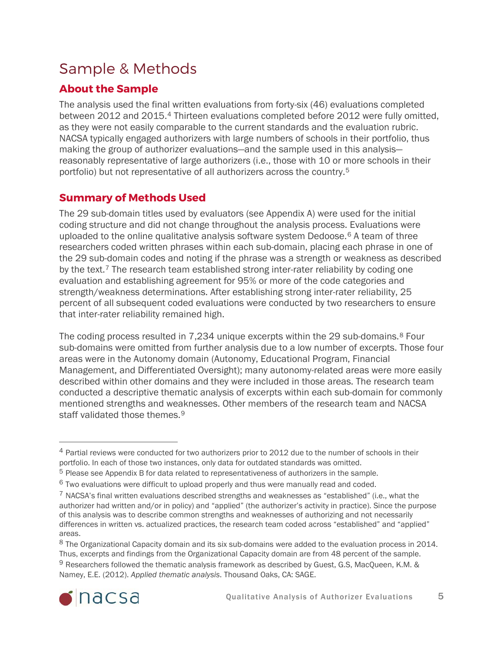## <span id="page-4-0"></span>Sample & Methods

### **About the Sample**

The analysis used the final written evaluations from forty-six (46) evaluations completed between 2012 and 2015.[4](#page-4-1) Thirteen evaluations completed before 2012 were fully omitted, as they were not easily comparable to the current standards and the evaluation rubric. NACSA typically engaged authorizers with large numbers of schools in their portfolio, thus making the group of authorizer evaluations—and the sample used in this analysis reasonably representative of large authorizers (i.e., those with 10 or more schools in their portfolio) but not representative of all authorizers across the country.[5](#page-4-2)

### **Summary of Methods Used**

The 29 sub-domain titles used by evaluators (see Appendix A) were used for the initial coding structure and did not change throughout the analysis process. Evaluations were uploaded to the online qualitative analysis software system Dedoose.[6](#page-4-3) A team of three researchers coded written phrases within each sub-domain, placing each phrase in one of the 29 sub-domain codes and noting if the phrase was a strength or weakness as described by the text.[7](#page-4-4) The research team established strong inter-rater reliability by coding one evaluation and establishing agreement for 95% or more of the code categories and strength/weakness determinations. After establishing strong inter-rater reliability, 25 percent of all subsequent coded evaluations were conducted by two researchers to ensure that inter-rater reliability remained high.

The coding process resulted in 7,234 unique excerpts within the 29 sub-domains.[8](#page-4-5) Four sub-domains were omitted from further analysis due to a low number of excerpts. Those four areas were in the Autonomy domain (Autonomy, Educational Program, Financial Management, and Differentiated Oversight); many autonomy-related areas were more easily described within other domains and they were included in those areas. The research team conducted a descriptive thematic analysis of excerpts within each sub-domain for commonly mentioned strengths and weaknesses. Other members of the research team and NACSA staff validated those themes.<sup>[9](#page-4-6)</sup>

<span id="page-4-6"></span><span id="page-4-5"></span><sup>8</sup> The Organizational Capacity domain and its six sub-domains were added to the evaluation process in 2014. Thus, excerpts and findings from the Organizational Capacity domain are from 48 percent of the sample. <sup>9</sup> Researchers followed the thematic analysis framework as described by Guest, G.S, MacQueen, K.M. & Namey, E.E. (2012). *Applied thematic analysis*. Thousand Oaks, CA: SAGE.



<span id="page-4-1"></span> <sup>4</sup> Partial reviews were conducted for two authorizers prior to 2012 due to the number of schools in their portfolio. In each of those two instances, only data for outdated standards was omitted.

<span id="page-4-2"></span><sup>5</sup> Please see Appendix B for data related to representativeness of authorizers in the sample.

<span id="page-4-3"></span><sup>6</sup> Two evaluations were difficult to upload properly and thus were manually read and coded.

<span id="page-4-4"></span> $7$  NACSA's final written evaluations described strengths and weaknesses as "established" (i.e., what the authorizer had written and/or in policy) and "applied" (the authorizer's activity in practice). Since the purpose of this analysis was to describe common strengths and weaknesses of authorizing and not necessarily differences in written vs. actualized practices, the research team coded across "established" and "applied" areas.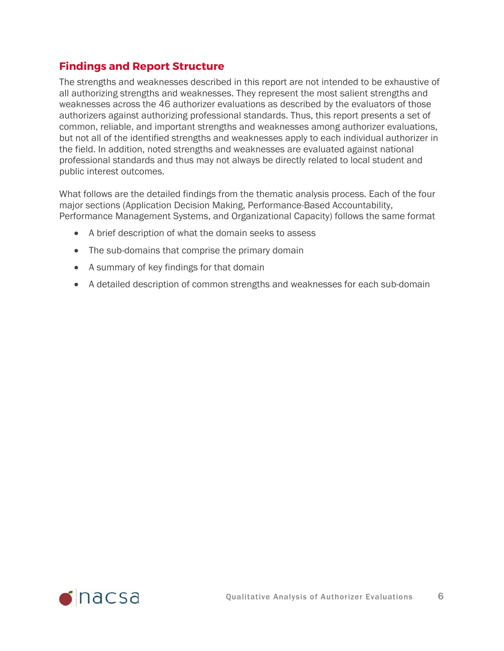#### **Findings and Report Structure**

The strengths and weaknesses described in this report are not intended to be exhaustive of all authorizing strengths and weaknesses. They represent the most salient strengths and weaknesses across the 46 authorizer evaluations as described by the evaluators of those authorizers against authorizing professional standards. Thus, this report presents a set of common, reliable, and important strengths and weaknesses among authorizer evaluations, but not all of the identified strengths and weaknesses apply to each individual authorizer in the field. In addition, noted strengths and weaknesses are evaluated against national professional standards and thus may not always be directly related to local student and public interest outcomes.

What follows are the detailed findings from the thematic analysis process. Each of the four major sections (Application Decision Making, Performance-Based Accountability, Performance Management Systems, and Organizational Capacity) follows the same format

- A brief description of what the domain seeks to assess
- The sub-domains that comprise the primary domain
- A summary of key findings for that domain
- A detailed description of common strengths and weaknesses for each sub-domain

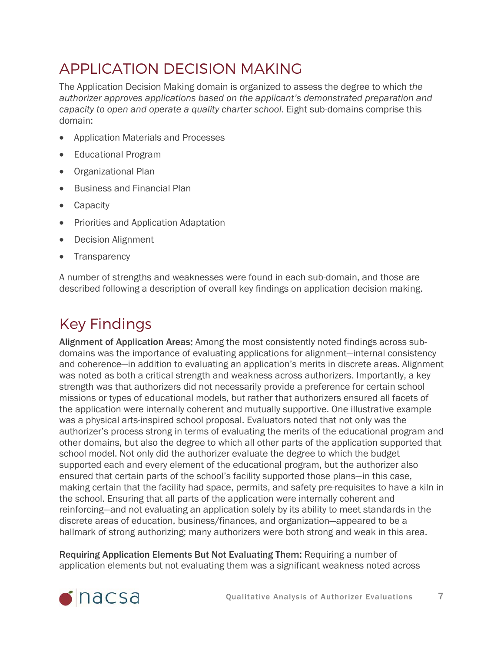# <span id="page-6-0"></span>APPLICATION DECISION MAKING

The Application Decision Making domain is organized to assess the degree to which *the authorizer approves applications based on the applicant's demonstrated preparation and capacity to open and operate a quality charter school*. Eight sub-domains comprise this domain:

- Application Materials and Processes
- Educational Program
- Organizational Plan
- Business and Financial Plan
- Capacity
- Priorities and Application Adaptation
- Decision Alignment
- Transparency

A number of strengths and weaknesses were found in each sub-domain, and those are described following a description of overall key findings on application decision making.

# Key Findings

Alignment of Application Areas: Among the most consistently noted findings across subdomains was the importance of evaluating applications for alignment—internal consistency and coherence—in addition to evaluating an application's merits in discrete areas. Alignment was noted as both a critical strength and weakness across authorizers. Importantly, a key strength was that authorizers did not necessarily provide a preference for certain school missions or types of educational models, but rather that authorizers ensured all facets of the application were internally coherent and mutually supportive. One illustrative example was a physical arts-inspired school proposal. Evaluators noted that not only was the authorizer's process strong in terms of evaluating the merits of the educational program and other domains, but also the degree to which all other parts of the application supported that school model. Not only did the authorizer evaluate the degree to which the budget supported each and every element of the educational program, but the authorizer also ensured that certain parts of the school's facility supported those plans—in this case, making certain that the facility had space, permits, and safety pre-requisites to have a kiln in the school. Ensuring that all parts of the application were internally coherent and reinforcing—and not evaluating an application solely by its ability to meet standards in the discrete areas of education, business/finances, and organization—appeared to be a hallmark of strong authorizing; many authorizers were both strong and weak in this area.

Requiring Application Elements But Not Evaluating Them: Requiring a number of application elements but not evaluating them was a significant weakness noted across

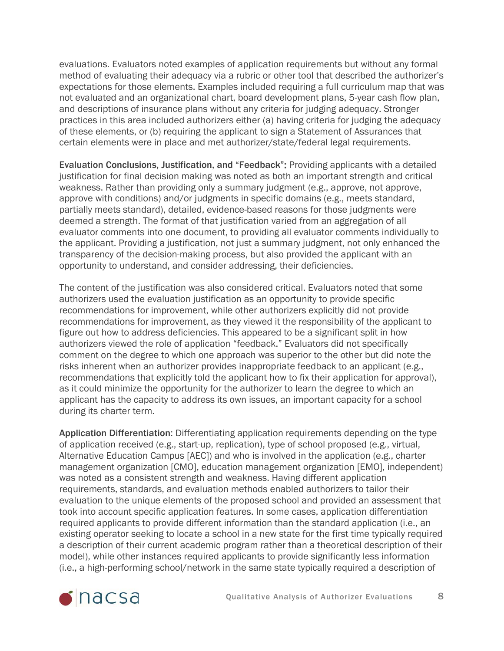evaluations. Evaluators noted examples of application requirements but without any formal method of evaluating their adequacy via a rubric or other tool that described the authorizer's expectations for those elements. Examples included requiring a full curriculum map that was not evaluated and an organizational chart, board development plans, 5-year cash flow plan, and descriptions of insurance plans without any criteria for judging adequacy. Stronger practices in this area included authorizers either (a) having criteria for judging the adequacy of these elements, or (b) requiring the applicant to sign a Statement of Assurances that certain elements were in place and met authorizer/state/federal legal requirements.

Evaluation Conclusions, Justification, and "Feedback": Providing applicants with a detailed justification for final decision making was noted as both an important strength and critical weakness. Rather than providing only a summary judgment (e.g., approve, not approve, approve with conditions) and/or judgments in specific domains (e.g., meets standard, partially meets standard), detailed, evidence-based reasons for those judgments were deemed a strength. The format of that justification varied from an aggregation of all evaluator comments into one document, to providing all evaluator comments individually to the applicant. Providing a justification, not just a summary judgment, not only enhanced the transparency of the decision-making process, but also provided the applicant with an opportunity to understand, and consider addressing, their deficiencies.

The content of the justification was also considered critical. Evaluators noted that some authorizers used the evaluation justification as an opportunity to provide specific recommendations for improvement, while other authorizers explicitly did not provide recommendations for improvement, as they viewed it the responsibility of the applicant to figure out how to address deficiencies. This appeared to be a significant split in how authorizers viewed the role of application "feedback." Evaluators did not specifically comment on the degree to which one approach was superior to the other but did note the risks inherent when an authorizer provides inappropriate feedback to an applicant (e.g., recommendations that explicitly told the applicant how to fix their application for approval), as it could minimize the opportunity for the authorizer to learn the degree to which an applicant has the capacity to address its own issues, an important capacity for a school during its charter term.

Application Differentiation: Differentiating application requirements depending on the type of application received (e.g., start-up, replication), type of school proposed (e.g., virtual, Alternative Education Campus [AEC]) and who is involved in the application (e.g., charter management organization [CMO], education management organization [EMO], independent) was noted as a consistent strength and weakness. Having different application requirements, standards, and evaluation methods enabled authorizers to tailor their evaluation to the unique elements of the proposed school and provided an assessment that took into account specific application features. In some cases, application differentiation required applicants to provide different information than the standard application (i.e., an existing operator seeking to locate a school in a new state for the first time typically required a description of their current academic program rather than a theoretical description of their model), while other instances required applicants to provide significantly less information (i.e., a high-performing school/network in the same state typically required a description of

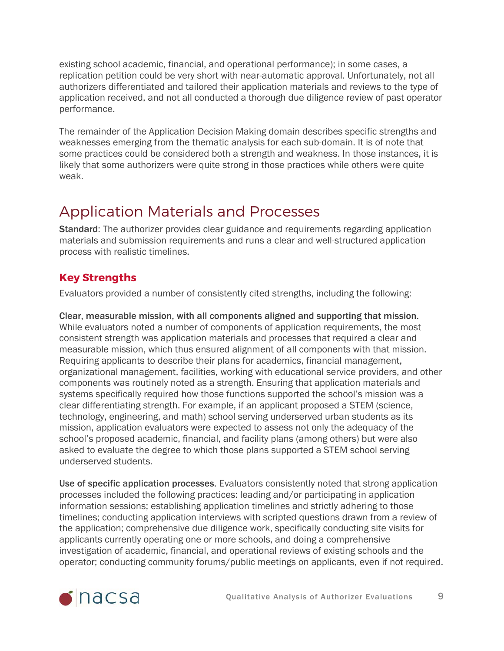existing school academic, financial, and operational performance); in some cases, a replication petition could be very short with near-automatic approval. Unfortunately, not all authorizers differentiated and tailored their application materials and reviews to the type of application received, and not all conducted a thorough due diligence review of past operator performance.

The remainder of the Application Decision Making domain describes specific strengths and weaknesses emerging from the thematic analysis for each sub-domain. It is of note that some practices could be considered both a strength and weakness. In those instances, it is likely that some authorizers were quite strong in those practices while others were quite weak.

## <span id="page-8-0"></span>Application Materials and Processes

Standard: The authorizer provides clear guidance and requirements regarding application materials and submission requirements and runs a clear and well-structured application process with realistic timelines.

### **Key Strengths**

Evaluators provided a number of consistently cited strengths, including the following:

Clear, measurable mission, with all components aligned and supporting that mission. While evaluators noted a number of components of application requirements, the most consistent strength was application materials and processes that required a clear and measurable mission, which thus ensured alignment of all components with that mission. Requiring applicants to describe their plans for academics, financial management, organizational management, facilities, working with educational service providers, and other components was routinely noted as a strength. Ensuring that application materials and systems specifically required how those functions supported the school's mission was a clear differentiating strength. For example, if an applicant proposed a STEM (science, technology, engineering, and math) school serving underserved urban students as its mission, application evaluators were expected to assess not only the adequacy of the school's proposed academic, financial, and facility plans (among others) but were also asked to evaluate the degree to which those plans supported a STEM school serving underserved students.

Use of specific application processes. Evaluators consistently noted that strong application processes included the following practices: leading and/or participating in application information sessions; establishing application timelines and strictly adhering to those timelines; conducting application interviews with scripted questions drawn from a review of the application; comprehensive due diligence work, specifically conducting site visits for applicants currently operating one or more schools, and doing a comprehensive investigation of academic, financial, and operational reviews of existing schools and the operator; conducting community forums/public meetings on applicants, even if not required.

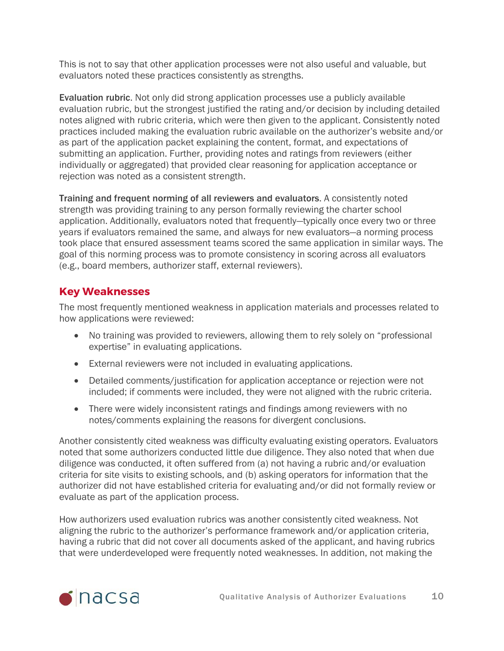This is not to say that other application processes were not also useful and valuable, but evaluators noted these practices consistently as strengths.

Evaluation rubric. Not only did strong application processes use a publicly available evaluation rubric, but the strongest justified the rating and/or decision by including detailed notes aligned with rubric criteria, which were then given to the applicant. Consistently noted practices included making the evaluation rubric available on the authorizer's website and/or as part of the application packet explaining the content, format, and expectations of submitting an application. Further, providing notes and ratings from reviewers (either individually or aggregated) that provided clear reasoning for application acceptance or rejection was noted as a consistent strength.

Training and frequent norming of all reviewers and evaluators. A consistently noted strength was providing training to any person formally reviewing the charter school application. Additionally, evaluators noted that frequently—typically once every two or three years if evaluators remained the same, and always for new evaluators—a norming process took place that ensured assessment teams scored the same application in similar ways. The goal of this norming process was to promote consistency in scoring across all evaluators (e.g., board members, authorizer staff, external reviewers).

#### **Key Weaknesses**

The most frequently mentioned weakness in application materials and processes related to how applications were reviewed:

- No training was provided to reviewers, allowing them to rely solely on "professional expertise" in evaluating applications.
- External reviewers were not included in evaluating applications.
- Detailed comments/justification for application acceptance or rejection were not included; if comments were included, they were not aligned with the rubric criteria.
- There were widely inconsistent ratings and findings among reviewers with no notes/comments explaining the reasons for divergent conclusions.

Another consistently cited weakness was difficulty evaluating existing operators. Evaluators noted that some authorizers conducted little due diligence. They also noted that when due diligence was conducted, it often suffered from (a) not having a rubric and/or evaluation criteria for site visits to existing schools, and (b) asking operators for information that the authorizer did not have established criteria for evaluating and/or did not formally review or evaluate as part of the application process.

How authorizers used evaluation rubrics was another consistently cited weakness. Not aligning the rubric to the authorizer's performance framework and/or application criteria, having a rubric that did not cover all documents asked of the applicant, and having rubrics that were underdeveloped were frequently noted weaknesses. In addition, not making the

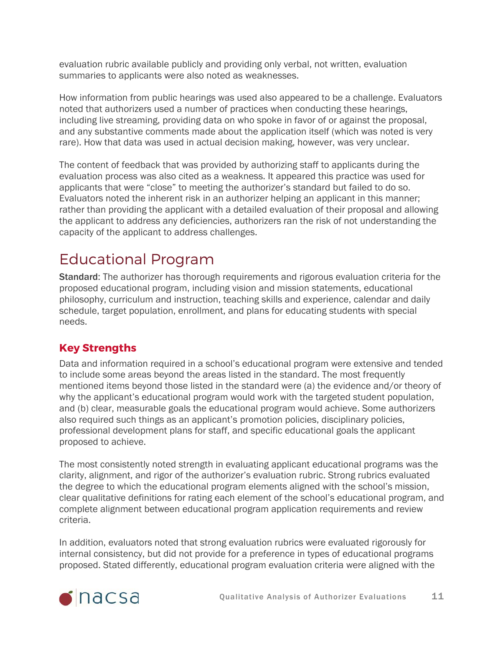evaluation rubric available publicly and providing only verbal, not written, evaluation summaries to applicants were also noted as weaknesses.

How information from public hearings was used also appeared to be a challenge. Evaluators noted that authorizers used a number of practices when conducting these hearings, including live streaming, providing data on who spoke in favor of or against the proposal, and any substantive comments made about the application itself (which was noted is very rare). How that data was used in actual decision making, however, was very unclear.

The content of feedback that was provided by authorizing staff to applicants during the evaluation process was also cited as a weakness. It appeared this practice was used for applicants that were "close" to meeting the authorizer's standard but failed to do so. Evaluators noted the inherent risk in an authorizer helping an applicant in this manner; rather than providing the applicant with a detailed evaluation of their proposal and allowing the applicant to address any deficiencies, authorizers ran the risk of not understanding the capacity of the applicant to address challenges.

# <span id="page-10-0"></span>Educational Program

Standard: The authorizer has thorough requirements and rigorous evaluation criteria for the proposed educational program, including vision and mission statements, educational philosophy, curriculum and instruction, teaching skills and experience, calendar and daily schedule, target population, enrollment, and plans for educating students with special needs.

### **Key Strengths**

Data and information required in a school's educational program were extensive and tended to include some areas beyond the areas listed in the standard. The most frequently mentioned items beyond those listed in the standard were (a) the evidence and/or theory of why the applicant's educational program would work with the targeted student population, and (b) clear, measurable goals the educational program would achieve. Some authorizers also required such things as an applicant's promotion policies, disciplinary policies, professional development plans for staff, and specific educational goals the applicant proposed to achieve.

The most consistently noted strength in evaluating applicant educational programs was the clarity, alignment, and rigor of the authorizer's evaluation rubric. Strong rubrics evaluated the degree to which the educational program elements aligned with the school's mission, clear qualitative definitions for rating each element of the school's educational program, and complete alignment between educational program application requirements and review criteria.

In addition, evaluators noted that strong evaluation rubrics were evaluated rigorously for internal consistency, but did not provide for a preference in types of educational programs proposed. Stated differently, educational program evaluation criteria were aligned with the

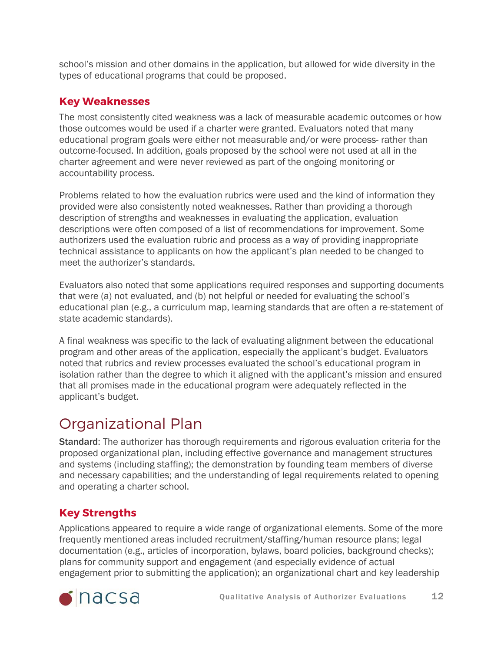school's mission and other domains in the application, but allowed for wide diversity in the types of educational programs that could be proposed.

#### **Key Weaknesses**

The most consistently cited weakness was a lack of measurable academic outcomes or how those outcomes would be used if a charter were granted. Evaluators noted that many educational program goals were either not measurable and/or were process- rather than outcome-focused. In addition, goals proposed by the school were not used at all in the charter agreement and were never reviewed as part of the ongoing monitoring or accountability process.

Problems related to how the evaluation rubrics were used and the kind of information they provided were also consistently noted weaknesses. Rather than providing a thorough description of strengths and weaknesses in evaluating the application, evaluation descriptions were often composed of a list of recommendations for improvement. Some authorizers used the evaluation rubric and process as a way of providing inappropriate technical assistance to applicants on how the applicant's plan needed to be changed to meet the authorizer's standards.

Evaluators also noted that some applications required responses and supporting documents that were (a) not evaluated, and (b) not helpful or needed for evaluating the school's educational plan (e.g., a curriculum map, learning standards that are often a re-statement of state academic standards).

A final weakness was specific to the lack of evaluating alignment between the educational program and other areas of the application, especially the applicant's budget. Evaluators noted that rubrics and review processes evaluated the school's educational program in isolation rather than the degree to which it aligned with the applicant's mission and ensured that all promises made in the educational program were adequately reflected in the applicant's budget.

## <span id="page-11-0"></span>Organizational Plan

Standard: The authorizer has thorough requirements and rigorous evaluation criteria for the proposed organizational plan, including effective governance and management structures and systems (including staffing); the demonstration by founding team members of diverse and necessary capabilities; and the understanding of legal requirements related to opening and operating a charter school.

### **Key Strengths**

Applications appeared to require a wide range of organizational elements. Some of the more frequently mentioned areas included recruitment/staffing/human resource plans; legal documentation (e.g., articles of incorporation, bylaws, board policies, background checks); plans for community support and engagement (and especially evidence of actual engagement prior to submitting the application); an organizational chart and key leadership

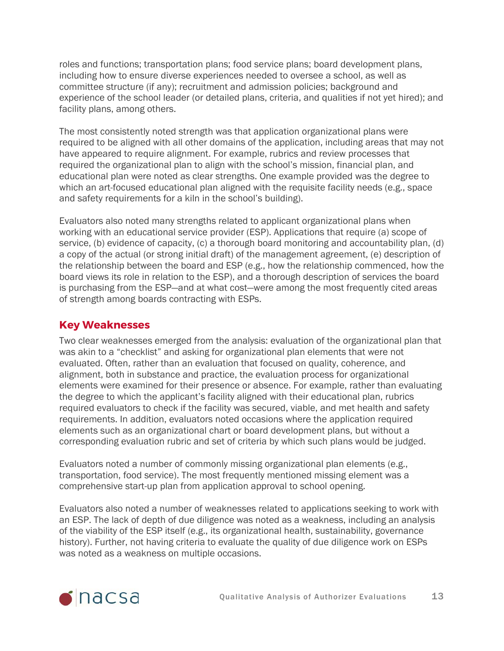roles and functions; transportation plans; food service plans; board development plans, including how to ensure diverse experiences needed to oversee a school, as well as committee structure (if any); recruitment and admission policies; background and experience of the school leader (or detailed plans, criteria, and qualities if not yet hired); and facility plans, among others.

The most consistently noted strength was that application organizational plans were required to be aligned with all other domains of the application, including areas that may not have appeared to require alignment. For example, rubrics and review processes that required the organizational plan to align with the school's mission, financial plan, and educational plan were noted as clear strengths. One example provided was the degree to which an art-focused educational plan aligned with the requisite facility needs (e.g., space and safety requirements for a kiln in the school's building).

Evaluators also noted many strengths related to applicant organizational plans when working with an educational service provider (ESP). Applications that require (a) scope of service, (b) evidence of capacity, (c) a thorough board monitoring and accountability plan, (d) a copy of the actual (or strong initial draft) of the management agreement, (e) description of the relationship between the board and ESP (e.g., how the relationship commenced, how the board views its role in relation to the ESP), and a thorough description of services the board is purchasing from the ESP—and at what cost—were among the most frequently cited areas of strength among boards contracting with ESPs.

#### **Key Weaknesses**

Two clear weaknesses emerged from the analysis: evaluation of the organizational plan that was akin to a "checklist" and asking for organizational plan elements that were not evaluated. Often, rather than an evaluation that focused on quality, coherence, and alignment, both in substance and practice, the evaluation process for organizational elements were examined for their presence or absence. For example, rather than evaluating the degree to which the applicant's facility aligned with their educational plan, rubrics required evaluators to check if the facility was secured, viable, and met health and safety requirements. In addition, evaluators noted occasions where the application required elements such as an organizational chart or board development plans, but without a corresponding evaluation rubric and set of criteria by which such plans would be judged.

Evaluators noted a number of commonly missing organizational plan elements (e.g., transportation, food service). The most frequently mentioned missing element was a comprehensive start-up plan from application approval to school opening.

Evaluators also noted a number of weaknesses related to applications seeking to work with an ESP. The lack of depth of due diligence was noted as a weakness, including an analysis of the viability of the ESP itself (e.g., its organizational health, sustainability, governance history). Further, not having criteria to evaluate the quality of due diligence work on ESPs was noted as a weakness on multiple occasions.

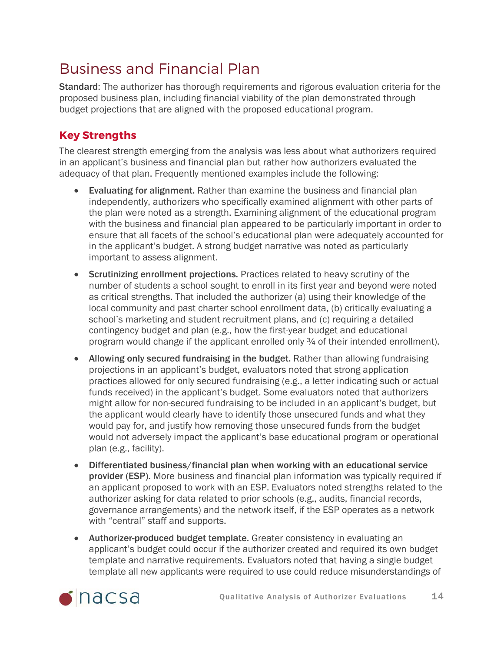## <span id="page-13-0"></span>Business and Financial Plan

Standard: The authorizer has thorough requirements and rigorous evaluation criteria for the proposed business plan, including financial viability of the plan demonstrated through budget projections that are aligned with the proposed educational program.

### **Key Strengths**

The clearest strength emerging from the analysis was less about what authorizers required in an applicant's business and financial plan but rather how authorizers evaluated the adequacy of that plan. Frequently mentioned examples include the following:

- Evaluating for alignment. Rather than examine the business and financial plan independently, authorizers who specifically examined alignment with other parts of the plan were noted as a strength. Examining alignment of the educational program with the business and financial plan appeared to be particularly important in order to ensure that all facets of the school's educational plan were adequately accounted for in the applicant's budget. A strong budget narrative was noted as particularly important to assess alignment.
- Scrutinizing enrollment projections. Practices related to heavy scrutiny of the number of students a school sought to enroll in its first year and beyond were noted as critical strengths. That included the authorizer (a) using their knowledge of the local community and past charter school enrollment data, (b) critically evaluating a school's marketing and student recruitment plans, and (c) requiring a detailed contingency budget and plan (e.g., how the first-year budget and educational program would change if the applicant enrolled only ¾ of their intended enrollment).
- Allowing only secured fundraising in the budget. Rather than allowing fundraising projections in an applicant's budget, evaluators noted that strong application practices allowed for only secured fundraising (e.g., a letter indicating such or actual funds received) in the applicant's budget. Some evaluators noted that authorizers might allow for non-secured fundraising to be included in an applicant's budget, but the applicant would clearly have to identify those unsecured funds and what they would pay for, and justify how removing those unsecured funds from the budget would not adversely impact the applicant's base educational program or operational plan (e.g., facility).
- Differentiated business/financial plan when working with an educational service provider (ESP). More business and financial plan information was typically required if an applicant proposed to work with an ESP. Evaluators noted strengths related to the authorizer asking for data related to prior schools (e.g., audits, financial records, governance arrangements) and the network itself, if the ESP operates as a network with "central" staff and supports.
- Authorizer-produced budget template. Greater consistency in evaluating an applicant's budget could occur if the authorizer created and required its own budget template and narrative requirements. Evaluators noted that having a single budget template all new applicants were required to use could reduce misunderstandings of

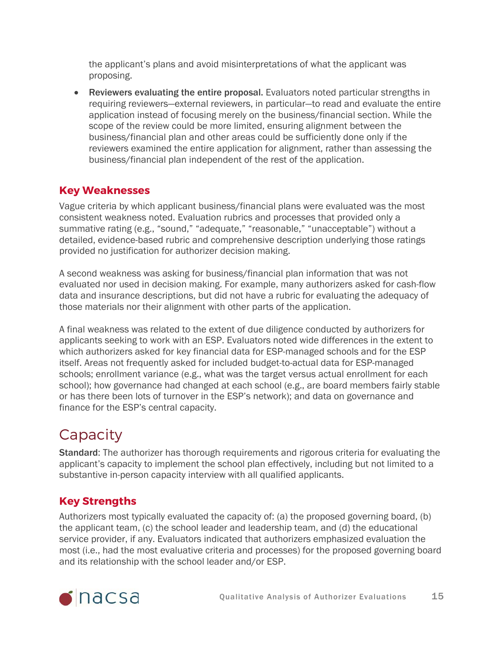the applicant's plans and avoid misinterpretations of what the applicant was proposing.

• Reviewers evaluating the entire proposal. Evaluators noted particular strengths in requiring reviewers—external reviewers, in particular—to read and evaluate the entire application instead of focusing merely on the business/financial section. While the scope of the review could be more limited, ensuring alignment between the business/financial plan and other areas could be sufficiently done only if the reviewers examined the entire application for alignment, rather than assessing the business/financial plan independent of the rest of the application.

#### **Key Weaknesses**

Vague criteria by which applicant business/financial plans were evaluated was the most consistent weakness noted. Evaluation rubrics and processes that provided only a summative rating (e.g., "sound," "adequate," "reasonable," "unacceptable") without a detailed, evidence-based rubric and comprehensive description underlying those ratings provided no justification for authorizer decision making.

A second weakness was asking for business/financial plan information that was not evaluated nor used in decision making. For example, many authorizers asked for cash-flow data and insurance descriptions, but did not have a rubric for evaluating the adequacy of those materials nor their alignment with other parts of the application.

A final weakness was related to the extent of due diligence conducted by authorizers for applicants seeking to work with an ESP. Evaluators noted wide differences in the extent to which authorizers asked for key financial data for ESP-managed schools and for the ESP itself. Areas not frequently asked for included budget-to-actual data for ESP-managed schools; enrollment variance (e.g., what was the target versus actual enrollment for each school); how governance had changed at each school (e.g., are board members fairly stable or has there been lots of turnover in the ESP's network); and data on governance and finance for the ESP's central capacity.

## <span id="page-14-0"></span>**Capacity**

Standard: The authorizer has thorough requirements and rigorous criteria for evaluating the applicant's capacity to implement the school plan effectively, including but not limited to a substantive in-person capacity interview with all qualified applicants.

### **Key Strengths**

Authorizers most typically evaluated the capacity of: (a) the proposed governing board, (b) the applicant team, (c) the school leader and leadership team, and (d) the educational service provider, if any. Evaluators indicated that authorizers emphasized evaluation the most (i.e., had the most evaluative criteria and processes) for the proposed governing board and its relationship with the school leader and/or ESP.

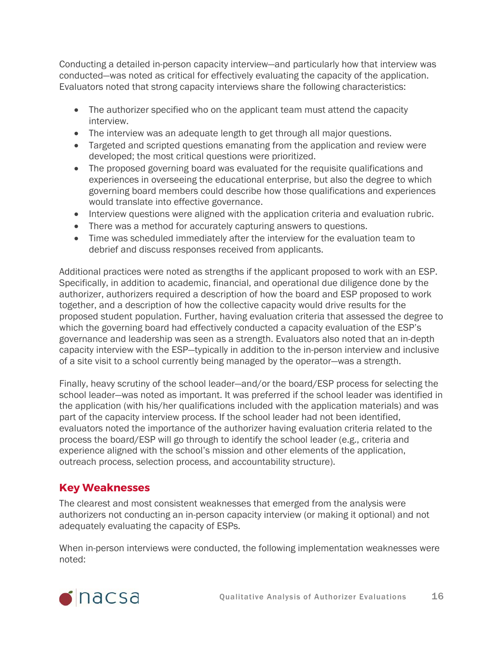Conducting a detailed in-person capacity interview—and particularly how that interview was conducted—was noted as critical for effectively evaluating the capacity of the application. Evaluators noted that strong capacity interviews share the following characteristics:

- The authorizer specified who on the applicant team must attend the capacity interview.
- The interview was an adequate length to get through all major questions.
- Targeted and scripted questions emanating from the application and review were developed; the most critical questions were prioritized.
- The proposed governing board was evaluated for the requisite qualifications and experiences in overseeing the educational enterprise, but also the degree to which governing board members could describe how those qualifications and experiences would translate into effective governance.
- Interview questions were aligned with the application criteria and evaluation rubric.
- There was a method for accurately capturing answers to questions.
- Time was scheduled immediately after the interview for the evaluation team to debrief and discuss responses received from applicants.

Additional practices were noted as strengths if the applicant proposed to work with an ESP. Specifically, in addition to academic, financial, and operational due diligence done by the authorizer, authorizers required a description of how the board and ESP proposed to work together, and a description of how the collective capacity would drive results for the proposed student population. Further, having evaluation criteria that assessed the degree to which the governing board had effectively conducted a capacity evaluation of the ESP's governance and leadership was seen as a strength. Evaluators also noted that an in-depth capacity interview with the ESP—typically in addition to the in-person interview and inclusive of a site visit to a school currently being managed by the operator—was a strength.

Finally, heavy scrutiny of the school leader—and/or the board/ESP process for selecting the school leader—was noted as important. It was preferred if the school leader was identified in the application (with his/her qualifications included with the application materials) and was part of the capacity interview process. If the school leader had not been identified, evaluators noted the importance of the authorizer having evaluation criteria related to the process the board/ESP will go through to identify the school leader (e.g., criteria and experience aligned with the school's mission and other elements of the application, outreach process, selection process, and accountability structure).

### **Key Weaknesses**

The clearest and most consistent weaknesses that emerged from the analysis were authorizers not conducting an in-person capacity interview (or making it optional) and not adequately evaluating the capacity of ESPs.

When in-person interviews were conducted, the following implementation weaknesses were noted:

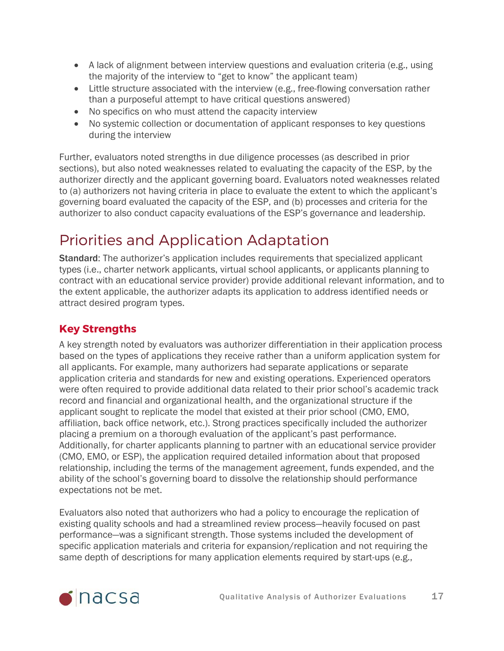- A lack of alignment between interview questions and evaluation criteria (e.g., using the majority of the interview to "get to know" the applicant team)
- Little structure associated with the interview (e.g., free-flowing conversation rather than a purposeful attempt to have critical questions answered)
- No specifics on who must attend the capacity interview
- No systemic collection or documentation of applicant responses to key questions during the interview

Further, evaluators noted strengths in due diligence processes (as described in prior sections), but also noted weaknesses related to evaluating the capacity of the ESP, by the authorizer directly and the applicant governing board. Evaluators noted weaknesses related to (a) authorizers not having criteria in place to evaluate the extent to which the applicant's governing board evaluated the capacity of the ESP, and (b) processes and criteria for the authorizer to also conduct capacity evaluations of the ESP's governance and leadership.

# <span id="page-16-0"></span>Priorities and Application Adaptation

Standard: The authorizer's application includes requirements that specialized applicant types (i.e., charter network applicants, virtual school applicants, or applicants planning to contract with an educational service provider) provide additional relevant information, and to the extent applicable, the authorizer adapts its application to address identified needs or attract desired program types.

### **Key Strengths**

A key strength noted by evaluators was authorizer differentiation in their application process based on the types of applications they receive rather than a uniform application system for all applicants. For example, many authorizers had separate applications or separate application criteria and standards for new and existing operations. Experienced operators were often required to provide additional data related to their prior school's academic track record and financial and organizational health, and the organizational structure if the applicant sought to replicate the model that existed at their prior school (CMO, EMO, affiliation, back office network, etc.). Strong practices specifically included the authorizer placing a premium on a thorough evaluation of the applicant's past performance. Additionally, for charter applicants planning to partner with an educational service provider (CMO, EMO, or ESP), the application required detailed information about that proposed relationship, including the terms of the management agreement, funds expended, and the ability of the school's governing board to dissolve the relationship should performance expectations not be met.

Evaluators also noted that authorizers who had a policy to encourage the replication of existing quality schools and had a streamlined review process—heavily focused on past performance—was a significant strength. Those systems included the development of specific application materials and criteria for expansion/replication and not requiring the same depth of descriptions for many application elements required by start-ups (e.g.,

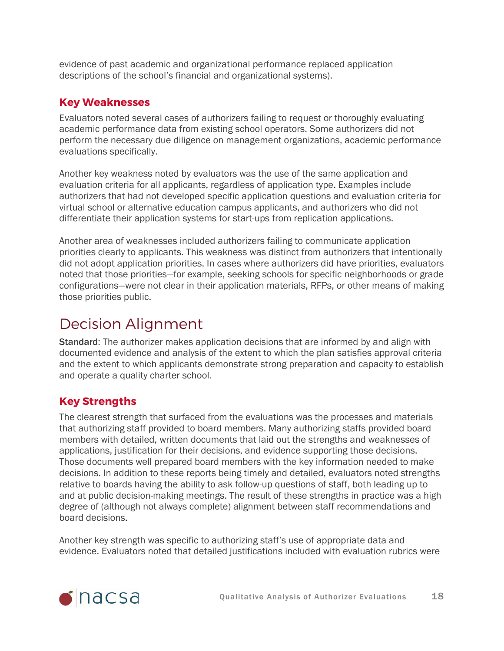evidence of past academic and organizational performance replaced application descriptions of the school's financial and organizational systems).

#### **Key Weaknesses**

Evaluators noted several cases of authorizers failing to request or thoroughly evaluating academic performance data from existing school operators. Some authorizers did not perform the necessary due diligence on management organizations, academic performance evaluations specifically.

Another key weakness noted by evaluators was the use of the same application and evaluation criteria for all applicants, regardless of application type. Examples include authorizers that had not developed specific application questions and evaluation criteria for virtual school or alternative education campus applicants, and authorizers who did not differentiate their application systems for start-ups from replication applications.

Another area of weaknesses included authorizers failing to communicate application priorities clearly to applicants. This weakness was distinct from authorizers that intentionally did not adopt application priorities. In cases where authorizers did have priorities, evaluators noted that those priorities—for example, seeking schools for specific neighborhoods or grade configurations—were not clear in their application materials, RFPs, or other means of making those priorities public.

## <span id="page-17-0"></span>Decision Alignment

Standard: The authorizer makes application decisions that are informed by and align with documented evidence and analysis of the extent to which the plan satisfies approval criteria and the extent to which applicants demonstrate strong preparation and capacity to establish and operate a quality charter school.

### **Key Strengths**

The clearest strength that surfaced from the evaluations was the processes and materials that authorizing staff provided to board members. Many authorizing staffs provided board members with detailed, written documents that laid out the strengths and weaknesses of applications, justification for their decisions, and evidence supporting those decisions. Those documents well prepared board members with the key information needed to make decisions. In addition to these reports being timely and detailed, evaluators noted strengths relative to boards having the ability to ask follow-up questions of staff, both leading up to and at public decision-making meetings. The result of these strengths in practice was a high degree of (although not always complete) alignment between staff recommendations and board decisions.

Another key strength was specific to authorizing staff's use of appropriate data and evidence. Evaluators noted that detailed justifications included with evaluation rubrics were

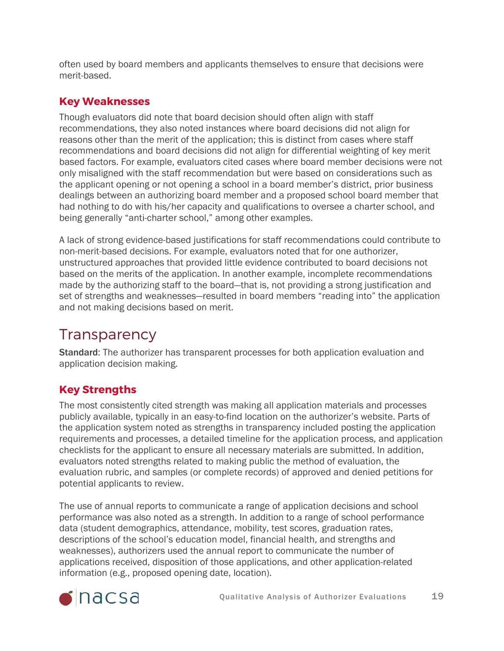often used by board members and applicants themselves to ensure that decisions were merit-based.

### **Key Weaknesses**

Though evaluators did note that board decision should often align with staff recommendations, they also noted instances where board decisions did not align for reasons other than the merit of the application; this is distinct from cases where staff recommendations and board decisions did not align for differential weighting of key merit based factors. For example, evaluators cited cases where board member decisions were not only misaligned with the staff recommendation but were based on considerations such as the applicant opening or not opening a school in a board member's district, prior business dealings between an authorizing board member and a proposed school board member that had nothing to do with his/her capacity and qualifications to oversee a charter school, and being generally "anti-charter school," among other examples.

A lack of strong evidence-based justifications for staff recommendations could contribute to non-merit-based decisions. For example, evaluators noted that for one authorizer, unstructured approaches that provided little evidence contributed to board decisions not based on the merits of the application. In another example, incomplete recommendations made by the authorizing staff to the board—that is, not providing a strong justification and set of strengths and weaknesses—resulted in board members "reading into" the application and not making decisions based on merit.

# <span id="page-18-0"></span>**Transparency**

Standard: The authorizer has transparent processes for both application evaluation and application decision making.

### **Key Strengths**

The most consistently cited strength was making all application materials and processes publicly available, typically in an easy-to-find location on the authorizer's website. Parts of the application system noted as strengths in transparency included posting the application requirements and processes, a detailed timeline for the application process, and application checklists for the applicant to ensure all necessary materials are submitted. In addition, evaluators noted strengths related to making public the method of evaluation, the evaluation rubric, and samples (or complete records) of approved and denied petitions for potential applicants to review.

The use of annual reports to communicate a range of application decisions and school performance was also noted as a strength. In addition to a range of school performance data (student demographics, attendance, mobility, test scores, graduation rates, descriptions of the school's education model, financial health, and strengths and weaknesses), authorizers used the annual report to communicate the number of applications received, disposition of those applications, and other application-related information (e.g., proposed opening date, location).

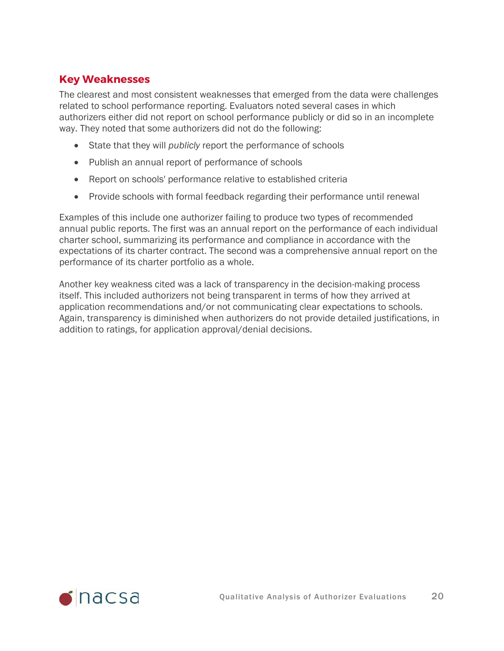#### **Key Weaknesses**

The clearest and most consistent weaknesses that emerged from the data were challenges related to school performance reporting. Evaluators noted several cases in which authorizers either did not report on school performance publicly or did so in an incomplete way. They noted that some authorizers did not do the following:

- State that they will *publicly* report the performance of schools
- Publish an annual report of performance of schools
- Report on schools' performance relative to established criteria
- Provide schools with formal feedback regarding their performance until renewal

Examples of this include one authorizer failing to produce two types of recommended annual public reports. The first was an annual report on the performance of each individual charter school, summarizing its performance and compliance in accordance with the expectations of its charter contract. The second was a comprehensive annual report on the performance of its charter portfolio as a whole.

Another key weakness cited was a lack of transparency in the decision-making process itself. This included authorizers not being transparent in terms of how they arrived at application recommendations and/or not communicating clear expectations to schools. Again, transparency is diminished when authorizers do not provide detailed justifications, in addition to ratings, for application approval/denial decisions.

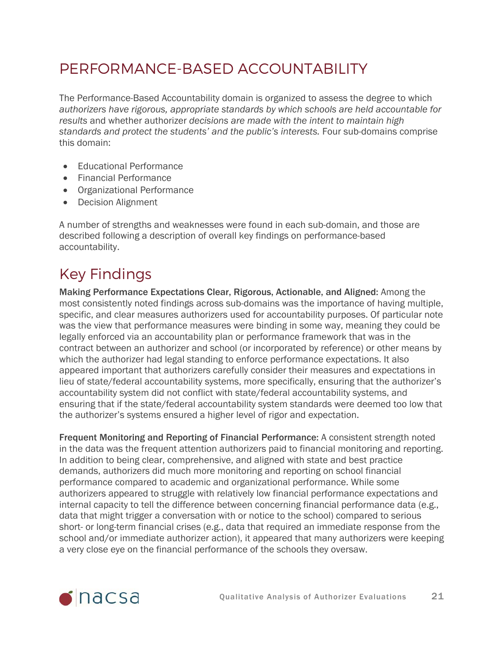## <span id="page-20-0"></span>PERFORMANCE-BASED ACCOUNTABILITY

The Performance-Based Accountability domain is organized to assess the degree to which *authorizers have rigorous, appropriate standards by which schools are held accountable for results* and whether authorizer *decisions are made with the intent to maintain high standards and protect the students' and the public's interests.* Four sub-domains comprise this domain:

- Educational Performance
- Financial Performance
- Organizational Performance
- Decision Alignment

A number of strengths and weaknesses were found in each sub-domain, and those are described following a description of overall key findings on performance-based accountability.

# Key Findings

Making Performance Expectations Clear, Rigorous, Actionable, and Aligned: Among the most consistently noted findings across sub-domains was the importance of having multiple, specific, and clear measures authorizers used for accountability purposes. Of particular note was the view that performance measures were binding in some way, meaning they could be legally enforced via an accountability plan or performance framework that was in the contract between an authorizer and school (or incorporated by reference) or other means by which the authorizer had legal standing to enforce performance expectations. It also appeared important that authorizers carefully consider their measures and expectations in lieu of state/federal accountability systems, more specifically, ensuring that the authorizer's accountability system did not conflict with state/federal accountability systems, and ensuring that if the state/federal accountability system standards were deemed too low that the authorizer's systems ensured a higher level of rigor and expectation.

Frequent Monitoring and Reporting of Financial Performance: A consistent strength noted in the data was the frequent attention authorizers paid to financial monitoring and reporting. In addition to being clear, comprehensive, and aligned with state and best practice demands, authorizers did much more monitoring and reporting on school financial performance compared to academic and organizational performance. While some authorizers appeared to struggle with relatively low financial performance expectations and internal capacity to tell the difference between concerning financial performance data (e.g., data that might trigger a conversation with or notice to the school) compared to serious short- or long-term financial crises (e.g., data that required an immediate response from the school and/or immediate authorizer action), it appeared that many authorizers were keeping a very close eye on the financial performance of the schools they oversaw.

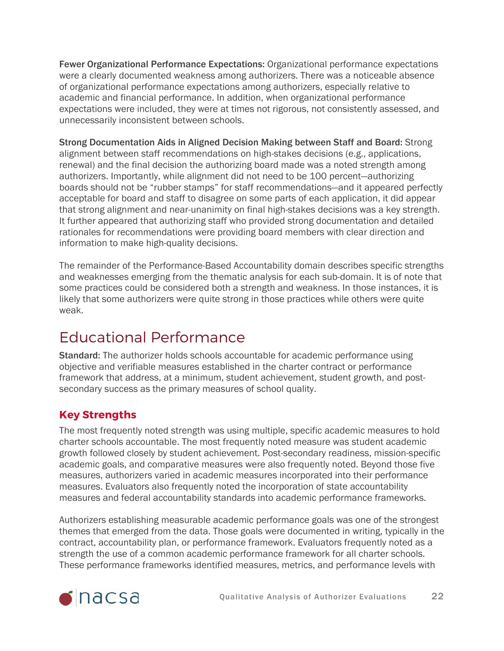Fewer Organizational Performance Expectations: Organizational performance expectations were a clearly documented weakness among authorizers. There was a noticeable absence of organizational performance expectations among authorizers, especially relative to academic and financial performance. In addition, when organizational performance expectations were included, they were at times not rigorous, not consistently assessed, and unnecessarily inconsistent between schools.

Strong Documentation Aids in Aligned Decision Making between Staff and Board: Strong alignment between staff recommendations on high-stakes decisions (e.g., applications, renewal) and the final decision the authorizing board made was a noted strength among authorizers. Importantly, while alignment did not need to be 100 percent—authorizing boards should not be "rubber stamps" for staff recommendations—and it appeared perfectly acceptable for board and staff to disagree on some parts of each application, it did appear that strong alignment and near-unanimity on final high-stakes decisions was a key strength. It further appeared that authorizing staff who provided strong documentation and detailed rationales for recommendations were providing board members with clear direction and information to make high-quality decisions.

The remainder of the Performance-Based Accountability domain describes specific strengths and weaknesses emerging from the thematic analysis for each sub-domain. It is of note that some practices could be considered both a strength and weakness. In those instances, it is likely that some authorizers were quite strong in those practices while others were quite weak.

## <span id="page-21-0"></span>Educational Performance

Standard: The authorizer holds schools accountable for academic performance using objective and verifiable measures established in the charter contract or performance framework that address, at a minimum, student achievement, student growth, and postsecondary success as the primary measures of school quality.

### **Key Strengths**

The most frequently noted strength was using multiple, specific academic measures to hold charter schools accountable. The most frequently noted measure was student academic growth followed closely by student achievement. Post-secondary readiness, mission-specific academic goals, and comparative measures were also frequently noted. Beyond those five measures, authorizers varied in academic measures incorporated into their performance measures. Evaluators also frequently noted the incorporation of state accountability measures and federal accountability standards into academic performance frameworks.

Authorizers establishing measurable academic performance goals was one of the strongest themes that emerged from the data. Those goals were documented in writing, typically in the contract, accountability plan, or performance framework. Evaluators frequently noted as a strength the use of a common academic performance framework for all charter schools. These performance frameworks identified measures, metrics, and performance levels with

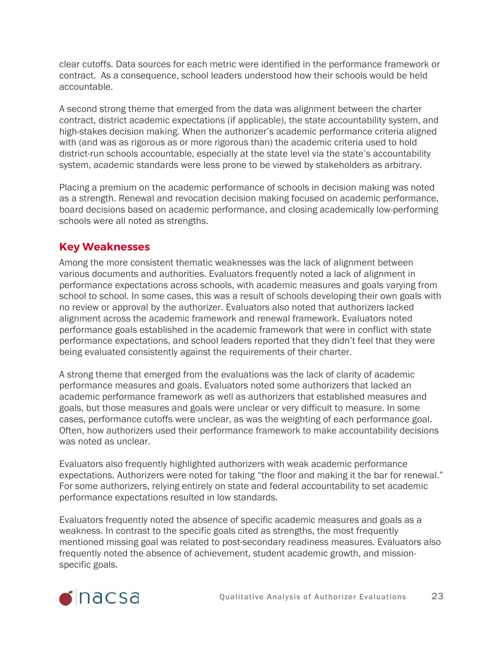clear cutoffs. Data sources for each metric were identified in the performance framework or contract. As a consequence, school leaders understood how their schools would be held accountable.

A second strong theme that emerged from the data was alignment between the charter contract, district academic expectations (if applicable), the state accountability system, and high-stakes decision making. When the authorizer's academic performance criteria aligned with (and was as rigorous as or more rigorous than) the academic criteria used to hold district-run schools accountable, especially at the state level via the state's accountability system, academic standards were less prone to be viewed by stakeholders as arbitrary.

Placing a premium on the academic performance of schools in decision making was noted as a strength. Renewal and revocation decision making focused on academic performance, board decisions based on academic performance, and closing academically low-performing schools were all noted as strengths.

#### **Key Weaknesses**

Among the more consistent thematic weaknesses was the lack of alignment between various documents and authorities. Evaluators frequently noted a lack of alignment in performance expectations across schools, with academic measures and goals varying from school to school. In some cases, this was a result of schools developing their own goals with no review or approval by the authorizer. Evaluators also noted that authorizers lacked alignment across the academic framework and renewal framework. Evaluators noted performance goals established in the academic framework that were in conflict with state performance expectations, and school leaders reported that they didn't feel that they were being evaluated consistently against the requirements of their charter.

A strong theme that emerged from the evaluations was the lack of clarity of academic performance measures and goals. Evaluators noted some authorizers that lacked an academic performance framework as well as authorizers that established measures and goals, but those measures and goals were unclear or very difficult to measure. In some cases, performance cutoffs were unclear, as was the weighting of each performance goal. Often, how authorizers used their performance framework to make accountability decisions was noted as unclear.

Evaluators also frequently highlighted authorizers with weak academic performance expectations. Authorizers were noted for taking "the floor and making it the bar for renewal." For some authorizers, relying entirely on state and federal accountability to set academic performance expectations resulted in low standards.

Evaluators frequently noted the absence of specific academic measures and goals as a weakness. In contrast to the specific goals cited as strengths, the most frequently mentioned missing goal was related to post-secondary readiness measures. Evaluators also frequently noted the absence of achievement, student academic growth, and missionspecific goals.

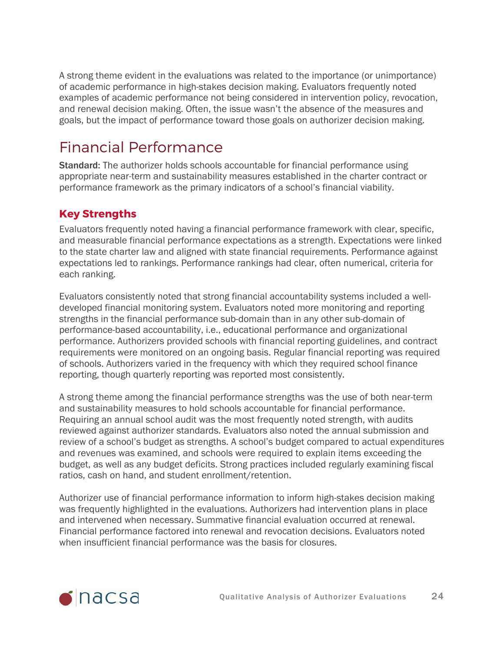A strong theme evident in the evaluations was related to the importance (or unimportance) of academic performance in high-stakes decision making. Evaluators frequently noted examples of academic performance not being considered in intervention policy, revocation, and renewal decision making. Often, the issue wasn't the absence of the measures and goals, but the impact of performance toward those goals on authorizer decision making.

## <span id="page-23-0"></span>Financial Performance

Standard: The authorizer holds schools accountable for financial performance using appropriate near-term and sustainability measures established in the charter contract or performance framework as the primary indicators of a school's financial viability.

### **Key Strengths**

Evaluators frequently noted having a financial performance framework with clear, specific, and measurable financial performance expectations as a strength. Expectations were linked to the state charter law and aligned with state financial requirements. Performance against expectations led to rankings. Performance rankings had clear, often numerical, criteria for each ranking.

Evaluators consistently noted that strong financial accountability systems included a welldeveloped financial monitoring system. Evaluators noted more monitoring and reporting strengths in the financial performance sub-domain than in any other sub-domain of performance-based accountability, i.e., educational performance and organizational performance. Authorizers provided schools with financial reporting guidelines, and contract requirements were monitored on an ongoing basis. Regular financial reporting was required of schools. Authorizers varied in the frequency with which they required school finance reporting, though quarterly reporting was reported most consistently.

A strong theme among the financial performance strengths was the use of both near-term and sustainability measures to hold schools accountable for financial performance. Requiring an annual school audit was the most frequently noted strength, with audits reviewed against authorizer standards. Evaluators also noted the annual submission and review of a school's budget as strengths. A school's budget compared to actual expenditures and revenues was examined, and schools were required to explain items exceeding the budget, as well as any budget deficits. Strong practices included regularly examining fiscal ratios, cash on hand, and student enrollment/retention.

Authorizer use of financial performance information to inform high-stakes decision making was frequently highlighted in the evaluations. Authorizers had intervention plans in place and intervened when necessary. Summative financial evaluation occurred at renewal. Financial performance factored into renewal and revocation decisions. Evaluators noted when insufficient financial performance was the basis for closures.

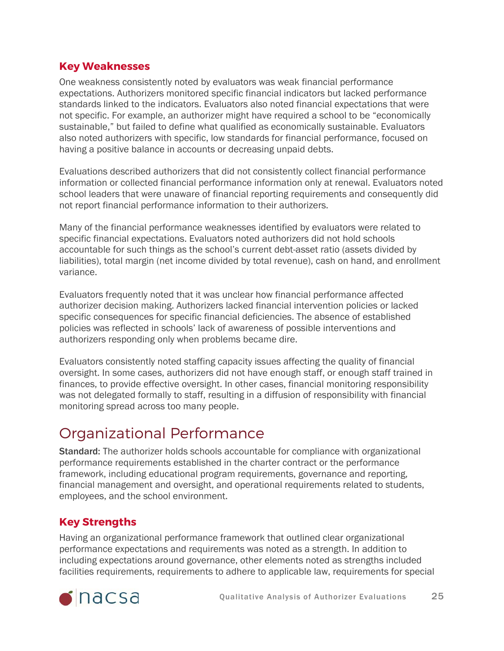#### **Key Weaknesses**

One weakness consistently noted by evaluators was weak financial performance expectations. Authorizers monitored specific financial indicators but lacked performance standards linked to the indicators. Evaluators also noted financial expectations that were not specific. For example, an authorizer might have required a school to be "economically sustainable," but failed to define what qualified as economically sustainable. Evaluators also noted authorizers with specific, low standards for financial performance, focused on having a positive balance in accounts or decreasing unpaid debts.

Evaluations described authorizers that did not consistently collect financial performance information or collected financial performance information only at renewal. Evaluators noted school leaders that were unaware of financial reporting requirements and consequently did not report financial performance information to their authorizers.

Many of the financial performance weaknesses identified by evaluators were related to specific financial expectations. Evaluators noted authorizers did not hold schools accountable for such things as the school's current debt-asset ratio (assets divided by liabilities), total margin (net income divided by total revenue), cash on hand, and enrollment variance.

Evaluators frequently noted that it was unclear how financial performance affected authorizer decision making. Authorizers lacked financial intervention policies or lacked specific consequences for specific financial deficiencies. The absence of established policies was reflected in schools' lack of awareness of possible interventions and authorizers responding only when problems became dire.

Evaluators consistently noted staffing capacity issues affecting the quality of financial oversight. In some cases, authorizers did not have enough staff, or enough staff trained in finances, to provide effective oversight. In other cases, financial monitoring responsibility was not delegated formally to staff, resulting in a diffusion of responsibility with financial monitoring spread across too many people.

### <span id="page-24-0"></span>Organizational Performance

Standard: The authorizer holds schools accountable for compliance with organizational performance requirements established in the charter contract or the performance framework, including educational program requirements, governance and reporting, financial management and oversight, and operational requirements related to students, employees, and the school environment.

### **Key Strengths**

Having an organizational performance framework that outlined clear organizational performance expectations and requirements was noted as a strength. In addition to including expectations around governance, other elements noted as strengths included facilities requirements, requirements to adhere to applicable law, requirements for special

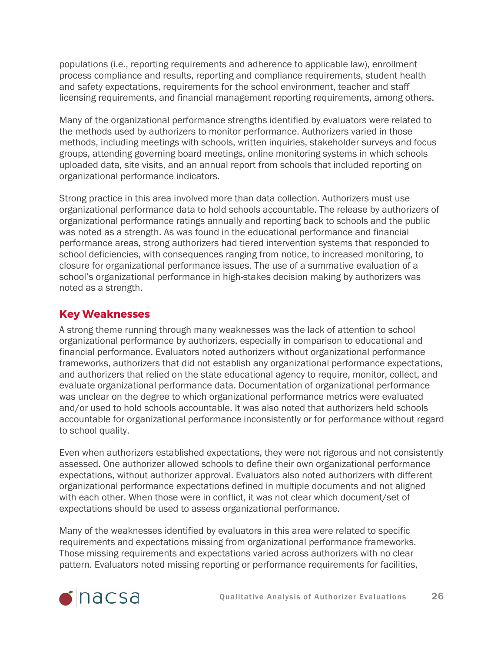populations (i.e., reporting requirements and adherence to applicable law), enrollment process compliance and results, reporting and compliance requirements, student health and safety expectations, requirements for the school environment, teacher and staff licensing requirements, and financial management reporting requirements, among others.

Many of the organizational performance strengths identified by evaluators were related to the methods used by authorizers to monitor performance. Authorizers varied in those methods, including meetings with schools, written inquiries, stakeholder surveys and focus groups, attending governing board meetings, online monitoring systems in which schools uploaded data, site visits, and an annual report from schools that included reporting on organizational performance indicators.

Strong practice in this area involved more than data collection. Authorizers must use organizational performance data to hold schools accountable. The release by authorizers of organizational performance ratings annually and reporting back to schools and the public was noted as a strength. As was found in the educational performance and financial performance areas, strong authorizers had tiered intervention systems that responded to school deficiencies, with consequences ranging from notice, to increased monitoring, to closure for organizational performance issues. The use of a summative evaluation of a school's organizational performance in high-stakes decision making by authorizers was noted as a strength.

#### **Key Weaknesses**

A strong theme running through many weaknesses was the lack of attention to school organizational performance by authorizers, especially in comparison to educational and financial performance. Evaluators noted authorizers without organizational performance frameworks, authorizers that did not establish any organizational performance expectations, and authorizers that relied on the state educational agency to require, monitor, collect, and evaluate organizational performance data. Documentation of organizational performance was unclear on the degree to which organizational performance metrics were evaluated and/or used to hold schools accountable. It was also noted that authorizers held schools accountable for organizational performance inconsistently or for performance without regard to school quality.

Even when authorizers established expectations, they were not rigorous and not consistently assessed. One authorizer allowed schools to define their own organizational performance expectations, without authorizer approval. Evaluators also noted authorizers with different organizational performance expectations defined in multiple documents and not aligned with each other. When those were in conflict, it was not clear which document/set of expectations should be used to assess organizational performance.

Many of the weaknesses identified by evaluators in this area were related to specific requirements and expectations missing from organizational performance frameworks. Those missing requirements and expectations varied across authorizers with no clear pattern. Evaluators noted missing reporting or performance requirements for facilities,

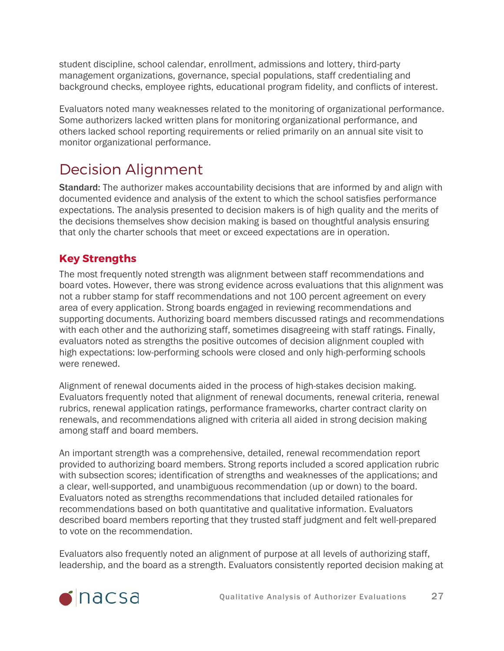student discipline, school calendar, enrollment, admissions and lottery, third-party management organizations, governance, special populations, staff credentialing and background checks, employee rights, educational program fidelity, and conflicts of interest.

Evaluators noted many weaknesses related to the monitoring of organizational performance. Some authorizers lacked written plans for monitoring organizational performance, and others lacked school reporting requirements or relied primarily on an annual site visit to monitor organizational performance.

## <span id="page-26-0"></span>Decision Alignment

**Standard:** The authorizer makes accountability decisions that are informed by and align with documented evidence and analysis of the extent to which the school satisfies performance expectations. The analysis presented to decision makers is of high quality and the merits of the decisions themselves show decision making is based on thoughtful analysis ensuring that only the charter schools that meet or exceed expectations are in operation.

### **Key Strengths**

The most frequently noted strength was alignment between staff recommendations and board votes. However, there was strong evidence across evaluations that this alignment was not a rubber stamp for staff recommendations and not 100 percent agreement on every area of every application. Strong boards engaged in reviewing recommendations and supporting documents. Authorizing board members discussed ratings and recommendations with each other and the authorizing staff, sometimes disagreeing with staff ratings. Finally, evaluators noted as strengths the positive outcomes of decision alignment coupled with high expectations: low-performing schools were closed and only high-performing schools were renewed.

Alignment of renewal documents aided in the process of high-stakes decision making. Evaluators frequently noted that alignment of renewal documents, renewal criteria, renewal rubrics, renewal application ratings, performance frameworks, charter contract clarity on renewals, and recommendations aligned with criteria all aided in strong decision making among staff and board members.

An important strength was a comprehensive, detailed, renewal recommendation report provided to authorizing board members. Strong reports included a scored application rubric with subsection scores; identification of strengths and weaknesses of the applications; and a clear, well-supported, and unambiguous recommendation (up or down) to the board. Evaluators noted as strengths recommendations that included detailed rationales for recommendations based on both quantitative and qualitative information. Evaluators described board members reporting that they trusted staff judgment and felt well-prepared to vote on the recommendation.

Evaluators also frequently noted an alignment of purpose at all levels of authorizing staff, leadership, and the board as a strength. Evaluators consistently reported decision making at

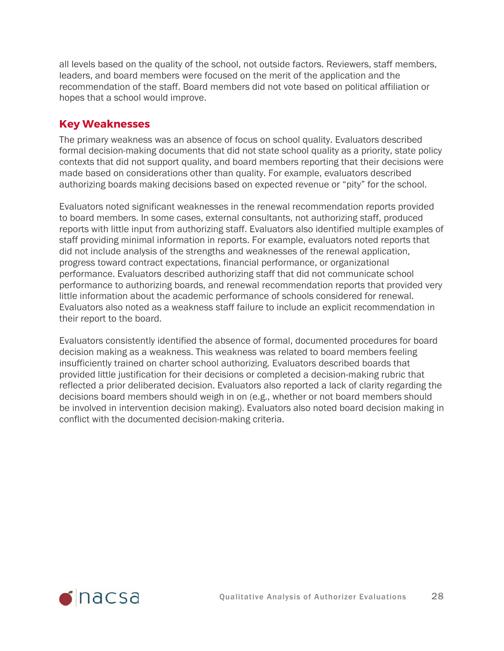all levels based on the quality of the school, not outside factors. Reviewers, staff members, leaders, and board members were focused on the merit of the application and the recommendation of the staff. Board members did not vote based on political affiliation or hopes that a school would improve.

#### **Key Weaknesses**

The primary weakness was an absence of focus on school quality. Evaluators described formal decision-making documents that did not state school quality as a priority, state policy contexts that did not support quality, and board members reporting that their decisions were made based on considerations other than quality. For example, evaluators described authorizing boards making decisions based on expected revenue or "pity" for the school.

Evaluators noted significant weaknesses in the renewal recommendation reports provided to board members. In some cases, external consultants, not authorizing staff, produced reports with little input from authorizing staff. Evaluators also identified multiple examples of staff providing minimal information in reports. For example, evaluators noted reports that did not include analysis of the strengths and weaknesses of the renewal application, progress toward contract expectations, financial performance, or organizational performance. Evaluators described authorizing staff that did not communicate school performance to authorizing boards, and renewal recommendation reports that provided very little information about the academic performance of schools considered for renewal. Evaluators also noted as a weakness staff failure to include an explicit recommendation in their report to the board.

Evaluators consistently identified the absence of formal, documented procedures for board decision making as a weakness. This weakness was related to board members feeling insufficiently trained on charter school authorizing. Evaluators described boards that provided little justification for their decisions or completed a decision-making rubric that reflected a prior deliberated decision. Evaluators also reported a lack of clarity regarding the decisions board members should weigh in on (e.g., whether or not board members should be involved in intervention decision making). Evaluators also noted board decision making in conflict with the documented decision-making criteria.

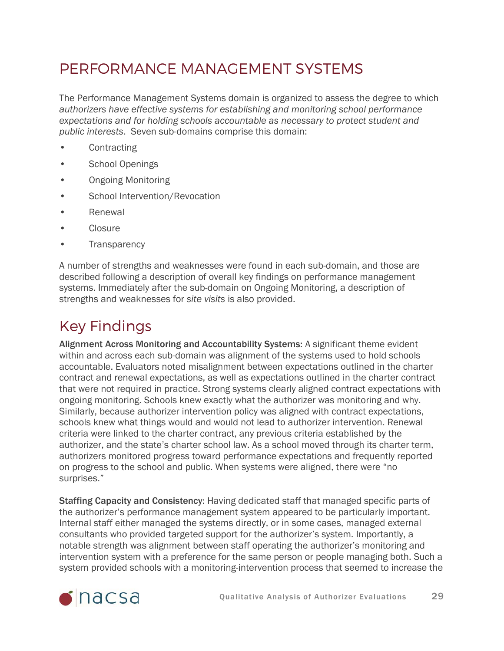## <span id="page-28-0"></span>PERFORMANCE MANAGEMENT SYSTEMS

The Performance Management Systems domain is organized to assess the degree to which *authorizers have effective systems for establishing and monitoring school performance expectations and for holding schools accountable as necessary to protect student and public interests*. Seven sub-domains comprise this domain:

- **Contracting**
- School Openings
- Ongoing Monitoring
- School Intervention/Revocation
- Renewal
- **Closure**
- **Transparency**

A number of strengths and weaknesses were found in each sub-domain, and those are described following a description of overall key findings on performance management systems. Immediately after the sub-domain on Ongoing Monitoring, a description of strengths and weaknesses for *site visits* is also provided.

# Key Findings

Alignment Across Monitoring and Accountability Systems: A significant theme evident within and across each sub-domain was alignment of the systems used to hold schools accountable. Evaluators noted misalignment between expectations outlined in the charter contract and renewal expectations, as well as expectations outlined in the charter contract that were not required in practice. Strong systems clearly aligned contract expectations with ongoing monitoring. Schools knew exactly what the authorizer was monitoring and why. Similarly, because authorizer intervention policy was aligned with contract expectations, schools knew what things would and would not lead to authorizer intervention. Renewal criteria were linked to the charter contract, any previous criteria established by the authorizer, and the state's charter school law. As a school moved through its charter term, authorizers monitored progress toward performance expectations and frequently reported on progress to the school and public. When systems were aligned, there were "no surprises."

Staffing Capacity and Consistency: Having dedicated staff that managed specific parts of the authorizer's performance management system appeared to be particularly important. Internal staff either managed the systems directly, or in some cases, managed external consultants who provided targeted support for the authorizer's system. Importantly, a notable strength was alignment between staff operating the authorizer's monitoring and intervention system with a preference for the same person or people managing both. Such a system provided schools with a monitoring-intervention process that seemed to increase the

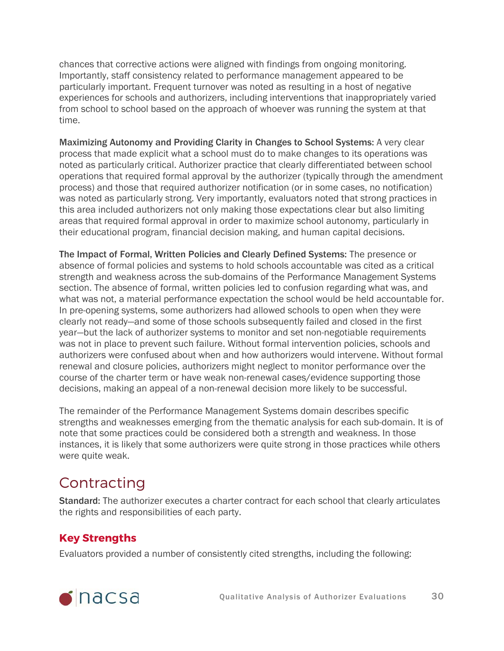chances that corrective actions were aligned with findings from ongoing monitoring. Importantly, staff consistency related to performance management appeared to be particularly important. Frequent turnover was noted as resulting in a host of negative experiences for schools and authorizers, including interventions that inappropriately varied from school to school based on the approach of whoever was running the system at that time.

Maximizing Autonomy and Providing Clarity in Changes to School Systems: A very clear process that made explicit what a school must do to make changes to its operations was noted as particularly critical. Authorizer practice that clearly differentiated between school operations that required formal approval by the authorizer (typically through the amendment process) and those that required authorizer notification (or in some cases, no notification) was noted as particularly strong. Very importantly, evaluators noted that strong practices in this area included authorizers not only making those expectations clear but also limiting areas that required formal approval in order to maximize school autonomy, particularly in their educational program, financial decision making, and human capital decisions.

The Impact of Formal, Written Policies and Clearly Defined Systems: The presence or absence of formal policies and systems to hold schools accountable was cited as a critical strength and weakness across the sub-domains of the Performance Management Systems section. The absence of formal, written policies led to confusion regarding what was, and what was not, a material performance expectation the school would be held accountable for. In pre-opening systems, some authorizers had allowed schools to open when they were clearly not ready—and some of those schools subsequently failed and closed in the first year—but the lack of authorizer systems to monitor and set non-negotiable requirements was not in place to prevent such failure. Without formal intervention policies, schools and authorizers were confused about when and how authorizers would intervene. Without formal renewal and closure policies, authorizers might neglect to monitor performance over the course of the charter term or have weak non-renewal cases/evidence supporting those decisions, making an appeal of a non-renewal decision more likely to be successful.

The remainder of the Performance Management Systems domain describes specific strengths and weaknesses emerging from the thematic analysis for each sub-domain. It is of note that some practices could be considered both a strength and weakness. In those instances, it is likely that some authorizers were quite strong in those practices while others were quite weak.

## <span id="page-29-0"></span>Contracting

Standard: The authorizer executes a charter contract for each school that clearly articulates the rights and responsibilities of each party.

### **Key Strengths**

Evaluators provided a number of consistently cited strengths, including the following:

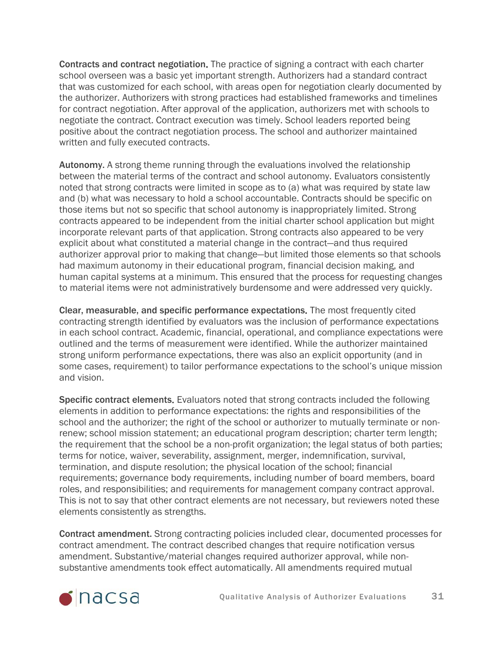Contracts and contract negotiation. The practice of signing a contract with each charter school overseen was a basic yet important strength. Authorizers had a standard contract that was customized for each school, with areas open for negotiation clearly documented by the authorizer. Authorizers with strong practices had established frameworks and timelines for contract negotiation. After approval of the application, authorizers met with schools to negotiate the contract. Contract execution was timely. School leaders reported being positive about the contract negotiation process. The school and authorizer maintained written and fully executed contracts.

Autonomy. A strong theme running through the evaluations involved the relationship between the material terms of the contract and school autonomy. Evaluators consistently noted that strong contracts were limited in scope as to (a) what was required by state law and (b) what was necessary to hold a school accountable. Contracts should be specific on those items but not so specific that school autonomy is inappropriately limited. Strong contracts appeared to be independent from the initial charter school application but might incorporate relevant parts of that application. Strong contracts also appeared to be very explicit about what constituted a material change in the contract—and thus required authorizer approval prior to making that change—but limited those elements so that schools had maximum autonomy in their educational program, financial decision making, and human capital systems at a minimum. This ensured that the process for requesting changes to material items were not administratively burdensome and were addressed very quickly.

Clear, measurable, and specific performance expectations. The most frequently cited contracting strength identified by evaluators was the inclusion of performance expectations in each school contract. Academic, financial, operational, and compliance expectations were outlined and the terms of measurement were identified. While the authorizer maintained strong uniform performance expectations, there was also an explicit opportunity (and in some cases, requirement) to tailor performance expectations to the school's unique mission and vision.

Specific contract elements. Evaluators noted that strong contracts included the following elements in addition to performance expectations: the rights and responsibilities of the school and the authorizer; the right of the school or authorizer to mutually terminate or nonrenew; school mission statement; an educational program description; charter term length; the requirement that the school be a non-profit organization; the legal status of both parties; terms for notice, waiver, severability, assignment, merger, indemnification, survival, termination, and dispute resolution; the physical location of the school; financial requirements; governance body requirements, including number of board members, board roles, and responsibilities; and requirements for management company contract approval. This is not to say that other contract elements are not necessary, but reviewers noted these elements consistently as strengths.

Contract amendment. Strong contracting policies included clear, documented processes for contract amendment. The contract described changes that require notification versus amendment. Substantive/material changes required authorizer approval, while nonsubstantive amendments took effect automatically. All amendments required mutual

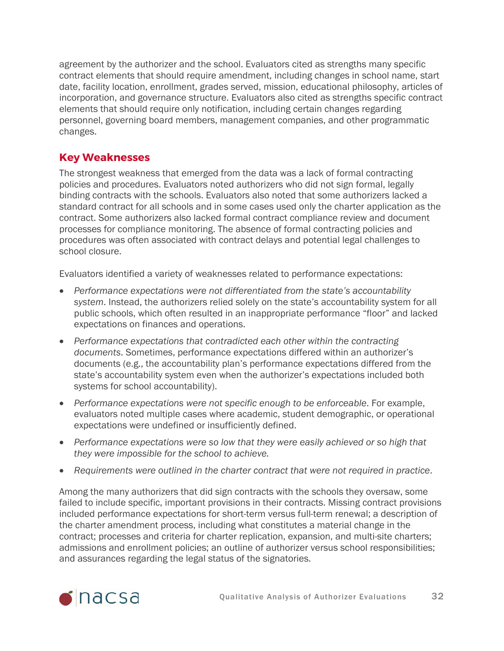agreement by the authorizer and the school. Evaluators cited as strengths many specific contract elements that should require amendment, including changes in school name, start date, facility location, enrollment, grades served, mission, educational philosophy, articles of incorporation, and governance structure. Evaluators also cited as strengths specific contract elements that should require only notification, including certain changes regarding personnel, governing board members, management companies, and other programmatic changes.

#### **Key Weaknesses**

The strongest weakness that emerged from the data was a lack of formal contracting policies and procedures. Evaluators noted authorizers who did not sign formal, legally binding contracts with the schools. Evaluators also noted that some authorizers lacked a standard contract for all schools and in some cases used only the charter application as the contract. Some authorizers also lacked formal contract compliance review and document processes for compliance monitoring. The absence of formal contracting policies and procedures was often associated with contract delays and potential legal challenges to school closure.

Evaluators identified a variety of weaknesses related to performance expectations:

- *Performance expectations were not differentiated from the state's accountability system*. Instead, the authorizers relied solely on the state's accountability system for all public schools, which often resulted in an inappropriate performance "floor" and lacked expectations on finances and operations.
- *Performance expectations that contradicted each other within the contracting documents*. Sometimes, performance expectations differed within an authorizer's documents (e.g., the accountability plan's performance expectations differed from the state's accountability system even when the authorizer's expectations included both systems for school accountability).
- *Performance expectations were not specific enough to be enforceable*. For example, evaluators noted multiple cases where academic, student demographic, or operational expectations were undefined or insufficiently defined.
- *Performance expectations were so low that they were easily achieved or so high that they were impossible for the school to achieve.*
- *Requirements were outlined in the charter contract that were not required in practice*.

Among the many authorizers that did sign contracts with the schools they oversaw, some failed to include specific, important provisions in their contracts. Missing contract provisions included performance expectations for short-term versus full-term renewal; a description of the charter amendment process, including what constitutes a material change in the contract; processes and criteria for charter replication, expansion, and multi-site charters; admissions and enrollment policies; an outline of authorizer versus school responsibilities; and assurances regarding the legal status of the signatories.

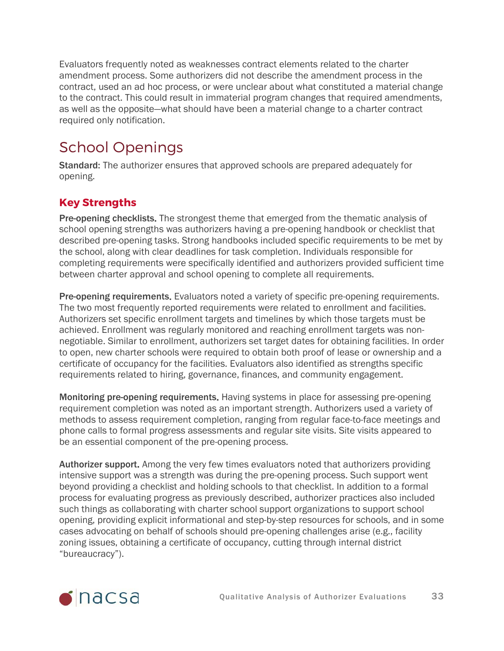Evaluators frequently noted as weaknesses contract elements related to the charter amendment process. Some authorizers did not describe the amendment process in the contract, used an ad hoc process, or were unclear about what constituted a material change to the contract. This could result in immaterial program changes that required amendments, as well as the opposite—what should have been a material change to a charter contract required only notification.

# <span id="page-32-0"></span>School Openings

Standard: The authorizer ensures that approved schools are prepared adequately for opening.

### **Key Strengths**

Pre-opening checklists. The strongest theme that emerged from the thematic analysis of school opening strengths was authorizers having a pre-opening handbook or checklist that described pre-opening tasks. Strong handbooks included specific requirements to be met by the school, along with clear deadlines for task completion. Individuals responsible for completing requirements were specifically identified and authorizers provided sufficient time between charter approval and school opening to complete all requirements.

Pre-opening requirements. Evaluators noted a variety of specific pre-opening requirements. The two most frequently reported requirements were related to enrollment and facilities. Authorizers set specific enrollment targets and timelines by which those targets must be achieved. Enrollment was regularly monitored and reaching enrollment targets was nonnegotiable. Similar to enrollment, authorizers set target dates for obtaining facilities. In order to open, new charter schools were required to obtain both proof of lease or ownership and a certificate of occupancy for the facilities. Evaluators also identified as strengths specific requirements related to hiring, governance, finances, and community engagement.

Monitoring pre-opening requirements. Having systems in place for assessing pre-opening requirement completion was noted as an important strength. Authorizers used a variety of methods to assess requirement completion, ranging from regular face-to-face meetings and phone calls to formal progress assessments and regular site visits. Site visits appeared to be an essential component of the pre-opening process.

Authorizer support. Among the very few times evaluators noted that authorizers providing intensive support was a strength was during the pre-opening process. Such support went beyond providing a checklist and holding schools to that checklist. In addition to a formal process for evaluating progress as previously described, authorizer practices also included such things as collaborating with charter school support organizations to support school opening, providing explicit informational and step-by-step resources for schools, and in some cases advocating on behalf of schools should pre-opening challenges arise (e.g., facility zoning issues, obtaining a certificate of occupancy, cutting through internal district "bureaucracy").

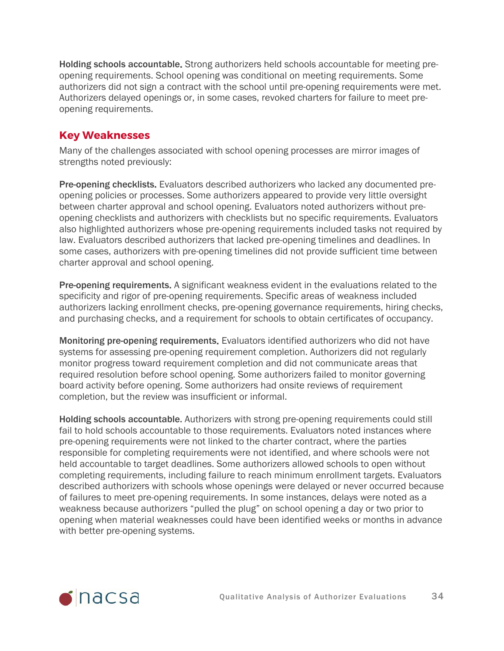Holding schools accountable. Strong authorizers held schools accountable for meeting preopening requirements. School opening was conditional on meeting requirements. Some authorizers did not sign a contract with the school until pre-opening requirements were met. Authorizers delayed openings or, in some cases, revoked charters for failure to meet preopening requirements.

#### **Key Weaknesses**

Many of the challenges associated with school opening processes are mirror images of strengths noted previously:

Pre-opening checklists. Evaluators described authorizers who lacked any documented preopening policies or processes. Some authorizers appeared to provide very little oversight between charter approval and school opening. Evaluators noted authorizers without preopening checklists and authorizers with checklists but no specific requirements. Evaluators also highlighted authorizers whose pre-opening requirements included tasks not required by law. Evaluators described authorizers that lacked pre-opening timelines and deadlines. In some cases, authorizers with pre-opening timelines did not provide sufficient time between charter approval and school opening.

Pre-opening requirements. A significant weakness evident in the evaluations related to the specificity and rigor of pre-opening requirements. Specific areas of weakness included authorizers lacking enrollment checks, pre-opening governance requirements, hiring checks, and purchasing checks, and a requirement for schools to obtain certificates of occupancy.

Monitoring pre-opening requirements. Evaluators identified authorizers who did not have systems for assessing pre-opening requirement completion. Authorizers did not regularly monitor progress toward requirement completion and did not communicate areas that required resolution before school opening. Some authorizers failed to monitor governing board activity before opening. Some authorizers had onsite reviews of requirement completion, but the review was insufficient or informal.

Holding schools accountable. Authorizers with strong pre-opening requirements could still fail to hold schools accountable to those requirements. Evaluators noted instances where pre-opening requirements were not linked to the charter contract, where the parties responsible for completing requirements were not identified, and where schools were not held accountable to target deadlines. Some authorizers allowed schools to open without completing requirements, including failure to reach minimum enrollment targets. Evaluators described authorizers with schools whose openings were delayed or never occurred because of failures to meet pre-opening requirements. In some instances, delays were noted as a weakness because authorizers "pulled the plug" on school opening a day or two prior to opening when material weaknesses could have been identified weeks or months in advance with better pre-opening systems.

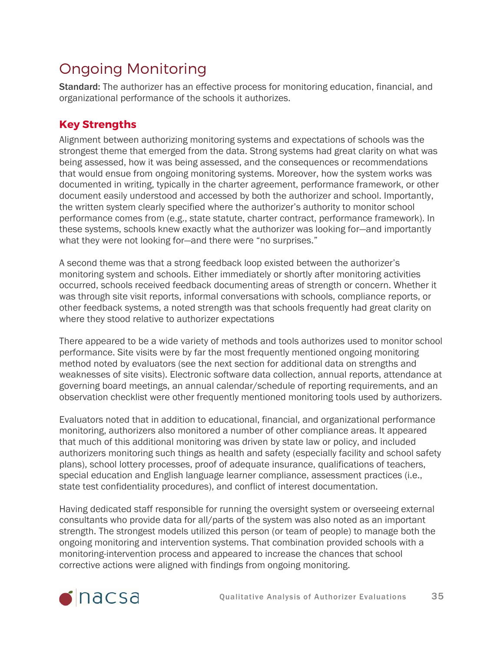# <span id="page-34-0"></span>Ongoing Monitoring

Standard: The authorizer has an effective process for monitoring education, financial, and organizational performance of the schools it authorizes.

### **Key Strengths**

Alignment between authorizing monitoring systems and expectations of schools was the strongest theme that emerged from the data. Strong systems had great clarity on what was being assessed, how it was being assessed, and the consequences or recommendations that would ensue from ongoing monitoring systems. Moreover, how the system works was documented in writing, typically in the charter agreement, performance framework, or other document easily understood and accessed by both the authorizer and school. Importantly, the written system clearly specified where the authorizer's authority to monitor school performance comes from (e.g., state statute, charter contract, performance framework). In these systems, schools knew exactly what the authorizer was looking for—and importantly what they were not looking for—and there were "no surprises."

A second theme was that a strong feedback loop existed between the authorizer's monitoring system and schools. Either immediately or shortly after monitoring activities occurred, schools received feedback documenting areas of strength or concern. Whether it was through site visit reports, informal conversations with schools, compliance reports, or other feedback systems, a noted strength was that schools frequently had great clarity on where they stood relative to authorizer expectations

There appeared to be a wide variety of methods and tools authorizes used to monitor school performance. Site visits were by far the most frequently mentioned ongoing monitoring method noted by evaluators (see the next section for additional data on strengths and weaknesses of site visits). Electronic software data collection, annual reports, attendance at governing board meetings, an annual calendar/schedule of reporting requirements, and an observation checklist were other frequently mentioned monitoring tools used by authorizers.

Evaluators noted that in addition to educational, financial, and organizational performance monitoring, authorizers also monitored a number of other compliance areas. It appeared that much of this additional monitoring was driven by state law or policy, and included authorizers monitoring such things as health and safety (especially facility and school safety plans), school lottery processes, proof of adequate insurance, qualifications of teachers, special education and English language learner compliance, assessment practices (i.e., state test confidentiality procedures), and conflict of interest documentation.

Having dedicated staff responsible for running the oversight system or overseeing external consultants who provide data for all/parts of the system was also noted as an important strength. The strongest models utilized this person (or team of people) to manage both the ongoing monitoring and intervention systems. That combination provided schools with a monitoring-intervention process and appeared to increase the chances that school corrective actions were aligned with findings from ongoing monitoring.

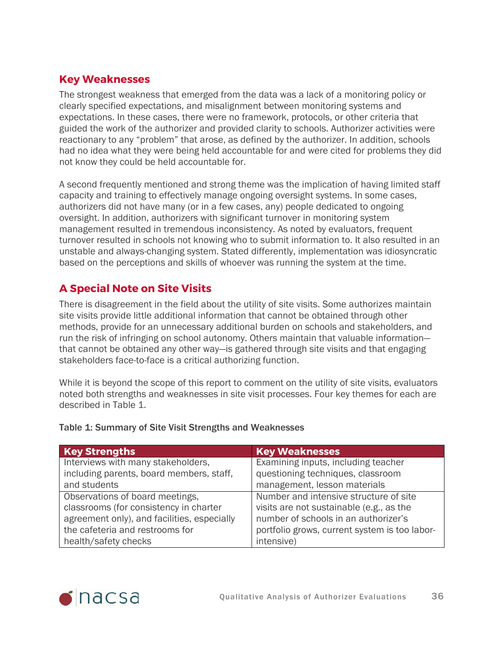### **Key Weaknesses**

The strongest weakness that emerged from the data was a lack of a monitoring policy or clearly specified expectations, and misalignment between monitoring systems and expectations. In these cases, there were no framework, protocols, or other criteria that guided the work of the authorizer and provided clarity to schools. Authorizer activities were reactionary to any "problem" that arose, as defined by the authorizer. In addition, schools had no idea what they were being held accountable for and were cited for problems they did not know they could be held accountable for.

A second frequently mentioned and strong theme was the implication of having limited staff capacity and training to effectively manage ongoing oversight systems. In some cases, authorizers did not have many (or in a few cases, any) people dedicated to ongoing oversight. In addition, authorizers with significant turnover in monitoring system management resulted in tremendous inconsistency. As noted by evaluators, frequent turnover resulted in schools not knowing who to submit information to. It also resulted in an unstable and always-changing system. Stated differently, implementation was idiosyncratic based on the perceptions and skills of whoever was running the system at the time.

### **A Special Note on Site Visits**

There is disagreement in the field about the utility of site visits. Some authorizes maintain site visits provide little additional information that cannot be obtained through other methods, provide for an unnecessary additional burden on schools and stakeholders, and run the risk of infringing on school autonomy. Others maintain that valuable information that cannot be obtained any other way—is gathered through site visits and that engaging stakeholders face-to-face is a critical authorizing function.

While it is beyond the scope of this report to comment on the utility of site visits, evaluators noted both strengths and weaknesses in site visit processes. Four key themes for each are described in Table 1.

| <b>Key Strengths</b>                        | <b>Key Weaknesses</b>                         |
|---------------------------------------------|-----------------------------------------------|
| Interviews with many stakeholders,          | Examining inputs, including teacher           |
| including parents, board members, staff,    | questioning techniques, classroom             |
| and students                                | management, lesson materials                  |
| Observations of board meetings,             | Number and intensive structure of site        |
| classrooms (for consistency in charter      | visits are not sustainable (e.g., as the      |
| agreement only), and facilities, especially | number of schools in an authorizer's          |
| the cafeteria and restrooms for             | portfolio grows, current system is too labor- |
| health/safety checks                        | intensive)                                    |

#### Table 1: Summary of Site Visit Strengths and Weaknesses

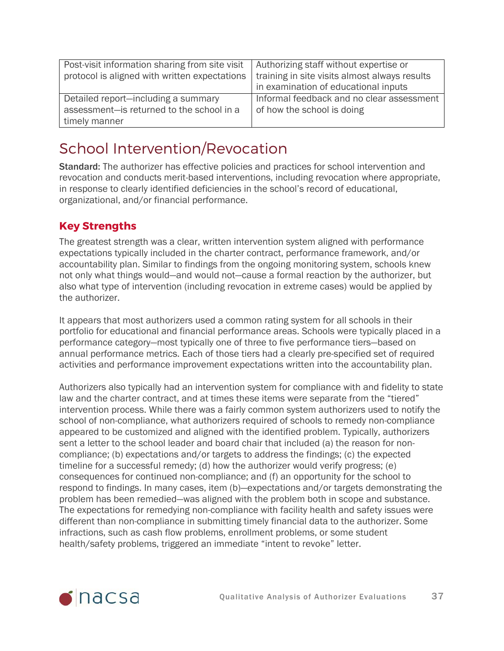| Post-visit information sharing from site visit<br>protocol is aligned with written expectations   | Authorizing staff without expertise or<br>training in site visits almost always results<br>in examination of educational inputs |
|---------------------------------------------------------------------------------------------------|---------------------------------------------------------------------------------------------------------------------------------|
| Detailed report-including a summary<br>assessment-is returned to the school in a<br>timely manner | Informal feedback and no clear assessment<br>of how the school is doing                                                         |

## <span id="page-36-0"></span>School Intervention/Revocation

Standard: The authorizer has effective policies and practices for school intervention and revocation and conducts merit-based interventions, including revocation where appropriate, in response to clearly identified deficiencies in the school's record of educational, organizational, and/or financial performance.

### **Key Strengths**

The greatest strength was a clear, written intervention system aligned with performance expectations typically included in the charter contract, performance framework, and/or accountability plan. Similar to findings from the ongoing monitoring system, schools knew not only what things would—and would not—cause a formal reaction by the authorizer, but also what type of intervention (including revocation in extreme cases) would be applied by the authorizer.

It appears that most authorizers used a common rating system for all schools in their portfolio for educational and financial performance areas. Schools were typically placed in a performance category—most typically one of three to five performance tiers—based on annual performance metrics. Each of those tiers had a clearly pre-specified set of required activities and performance improvement expectations written into the accountability plan.

Authorizers also typically had an intervention system for compliance with and fidelity to state law and the charter contract, and at times these items were separate from the "tiered" intervention process. While there was a fairly common system authorizers used to notify the school of non-compliance, what authorizers required of schools to remedy non-compliance appeared to be customized and aligned with the identified problem. Typically, authorizers sent a letter to the school leader and board chair that included (a) the reason for noncompliance; (b) expectations and/or targets to address the findings; (c) the expected timeline for a successful remedy; (d) how the authorizer would verify progress; (e) consequences for continued non-compliance; and (f) an opportunity for the school to respond to findings. In many cases, item (b)—expectations and/or targets demonstrating the problem has been remedied—was aligned with the problem both in scope and substance. The expectations for remedying non-compliance with facility health and safety issues were different than non-compliance in submitting timely financial data to the authorizer. Some infractions, such as cash flow problems, enrollment problems, or some student health/safety problems, triggered an immediate "intent to revoke" letter.

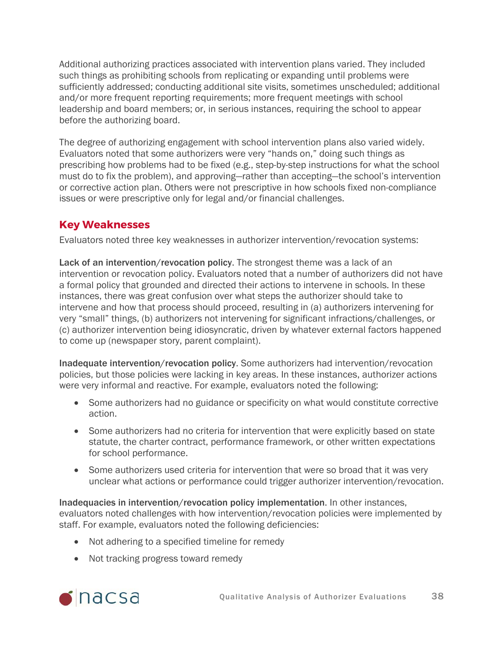Additional authorizing practices associated with intervention plans varied. They included such things as prohibiting schools from replicating or expanding until problems were sufficiently addressed; conducting additional site visits, sometimes unscheduled; additional and/or more frequent reporting requirements; more frequent meetings with school leadership and board members; or, in serious instances, requiring the school to appear before the authorizing board.

The degree of authorizing engagement with school intervention plans also varied widely. Evaluators noted that some authorizers were very "hands on," doing such things as prescribing how problems had to be fixed (e.g., step-by-step instructions for what the school must do to fix the problem), and approving—rather than accepting—the school's intervention or corrective action plan. Others were not prescriptive in how schools fixed non-compliance issues or were prescriptive only for legal and/or financial challenges.

### **Key Weaknesses**

Evaluators noted three key weaknesses in authorizer intervention/revocation systems:

Lack of an intervention/revocation policy. The strongest theme was a lack of an intervention or revocation policy. Evaluators noted that a number of authorizers did not have a formal policy that grounded and directed their actions to intervene in schools. In these instances, there was great confusion over what steps the authorizer should take to intervene and how that process should proceed, resulting in (a) authorizers intervening for very "small" things, (b) authorizers not intervening for significant infractions/challenges, or (c) authorizer intervention being idiosyncratic, driven by whatever external factors happened to come up (newspaper story, parent complaint).

Inadequate intervention/revocation policy. Some authorizers had intervention/revocation policies, but those policies were lacking in key areas. In these instances, authorizer actions were very informal and reactive. For example, evaluators noted the following:

- Some authorizers had no guidance or specificity on what would constitute corrective action.
- Some authorizers had no criteria for intervention that were explicitly based on state statute, the charter contract, performance framework, or other written expectations for school performance.
- Some authorizers used criteria for intervention that were so broad that it was very unclear what actions or performance could trigger authorizer intervention/revocation.

Inadequacies in intervention/revocation policy implementation. In other instances, evaluators noted challenges with how intervention/revocation policies were implemented by staff. For example, evaluators noted the following deficiencies:

- Not adhering to a specified timeline for remedy
- Not tracking progress toward remedy

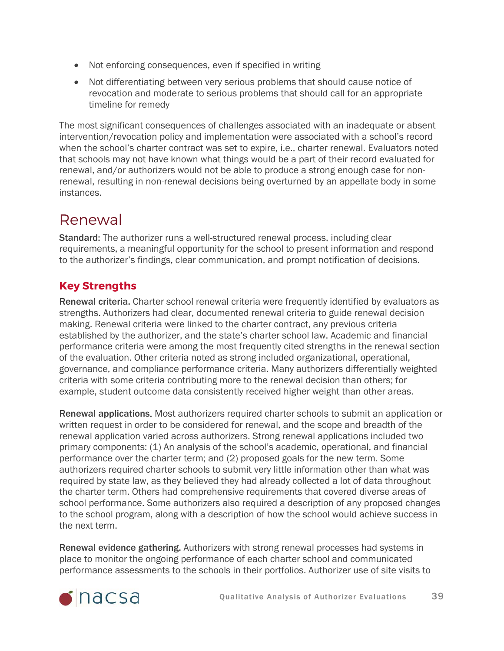- Not enforcing consequences, even if specified in writing
- Not differentiating between very serious problems that should cause notice of revocation and moderate to serious problems that should call for an appropriate timeline for remedy

The most significant consequences of challenges associated with an inadequate or absent intervention/revocation policy and implementation were associated with a school's record when the school's charter contract was set to expire, i.e., charter renewal. Evaluators noted that schools may not have known what things would be a part of their record evaluated for renewal, and/or authorizers would not be able to produce a strong enough case for nonrenewal, resulting in non-renewal decisions being overturned by an appellate body in some instances.

## <span id="page-38-0"></span>Renewal

Standard: The authorizer runs a well-structured renewal process, including clear requirements, a meaningful opportunity for the school to present information and respond to the authorizer's findings, clear communication, and prompt notification of decisions.

### **Key Strengths**

Renewal criteria. Charter school renewal criteria were frequently identified by evaluators as strengths. Authorizers had clear, documented renewal criteria to guide renewal decision making. Renewal criteria were linked to the charter contract, any previous criteria established by the authorizer, and the state's charter school law. Academic and financial performance criteria were among the most frequently cited strengths in the renewal section of the evaluation. Other criteria noted as strong included organizational, operational, governance, and compliance performance criteria. Many authorizers differentially weighted criteria with some criteria contributing more to the renewal decision than others; for example, student outcome data consistently received higher weight than other areas.

Renewal applications. Most authorizers required charter schools to submit an application or written request in order to be considered for renewal, and the scope and breadth of the renewal application varied across authorizers. Strong renewal applications included two primary components: (1) An analysis of the school's academic, operational, and financial performance over the charter term; and (2) proposed goals for the new term. Some authorizers required charter schools to submit very little information other than what was required by state law, as they believed they had already collected a lot of data throughout the charter term. Others had comprehensive requirements that covered diverse areas of school performance. Some authorizers also required a description of any proposed changes to the school program, along with a description of how the school would achieve success in the next term.

Renewal evidence gathering. Authorizers with strong renewal processes had systems in place to monitor the ongoing performance of each charter school and communicated performance assessments to the schools in their portfolios. Authorizer use of site visits to

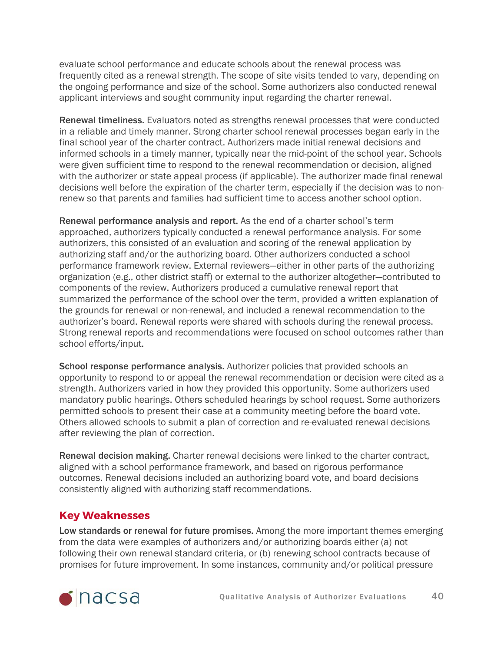evaluate school performance and educate schools about the renewal process was frequently cited as a renewal strength. The scope of site visits tended to vary, depending on the ongoing performance and size of the school. Some authorizers also conducted renewal applicant interviews and sought community input regarding the charter renewal.

Renewal timeliness. Evaluators noted as strengths renewal processes that were conducted in a reliable and timely manner. Strong charter school renewal processes began early in the final school year of the charter contract. Authorizers made initial renewal decisions and informed schools in a timely manner, typically near the mid-point of the school year. Schools were given sufficient time to respond to the renewal recommendation or decision, aligned with the authorizer or state appeal process (if applicable). The authorizer made final renewal decisions well before the expiration of the charter term, especially if the decision was to nonrenew so that parents and families had sufficient time to access another school option.

Renewal performance analysis and report. As the end of a charter school's term approached, authorizers typically conducted a renewal performance analysis. For some authorizers, this consisted of an evaluation and scoring of the renewal application by authorizing staff and/or the authorizing board. Other authorizers conducted a school performance framework review. External reviewers—either in other parts of the authorizing organization (e.g., other district staff) or external to the authorizer altogether—contributed to components of the review. Authorizers produced a cumulative renewal report that summarized the performance of the school over the term, provided a written explanation of the grounds for renewal or non-renewal, and included a renewal recommendation to the authorizer's board. Renewal reports were shared with schools during the renewal process. Strong renewal reports and recommendations were focused on school outcomes rather than school efforts/input.

School response performance analysis. Authorizer policies that provided schools an opportunity to respond to or appeal the renewal recommendation or decision were cited as a strength. Authorizers varied in how they provided this opportunity. Some authorizers used mandatory public hearings. Others scheduled hearings by school request. Some authorizers permitted schools to present their case at a community meeting before the board vote. Others allowed schools to submit a plan of correction and re-evaluated renewal decisions after reviewing the plan of correction.

Renewal decision making. Charter renewal decisions were linked to the charter contract, aligned with a school performance framework, and based on rigorous performance outcomes. Renewal decisions included an authorizing board vote, and board decisions consistently aligned with authorizing staff recommendations.

#### **Key Weaknesses**

Low standards or renewal for future promises. Among the more important themes emerging from the data were examples of authorizers and/or authorizing boards either (a) not following their own renewal standard criteria, or (b) renewing school contracts because of promises for future improvement. In some instances, community and/or political pressure

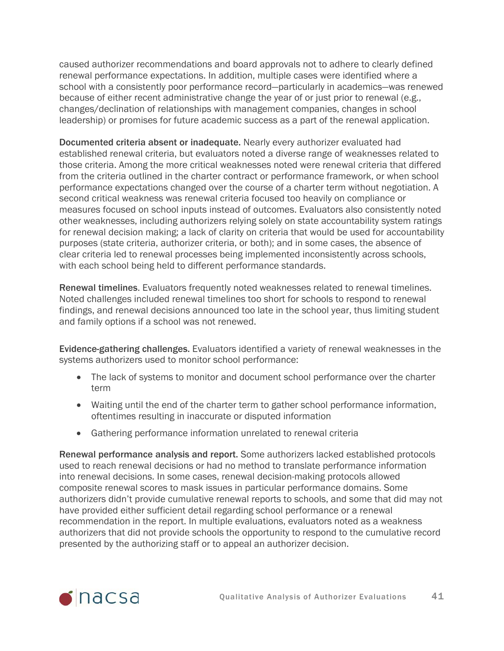caused authorizer recommendations and board approvals not to adhere to clearly defined renewal performance expectations. In addition, multiple cases were identified where a school with a consistently poor performance record—particularly in academics—was renewed because of either recent administrative change the year of or just prior to renewal (e.g., changes/declination of relationships with management companies, changes in school leadership) or promises for future academic success as a part of the renewal application.

Documented criteria absent or inadequate. Nearly every authorizer evaluated had established renewal criteria, but evaluators noted a diverse range of weaknesses related to those criteria. Among the more critical weaknesses noted were renewal criteria that differed from the criteria outlined in the charter contract or performance framework, or when school performance expectations changed over the course of a charter term without negotiation. A second critical weakness was renewal criteria focused too heavily on compliance or measures focused on school inputs instead of outcomes. Evaluators also consistently noted other weaknesses, including authorizers relying solely on state accountability system ratings for renewal decision making; a lack of clarity on criteria that would be used for accountability purposes (state criteria, authorizer criteria, or both); and in some cases, the absence of clear criteria led to renewal processes being implemented inconsistently across schools, with each school being held to different performance standards.

Renewal timelines. Evaluators frequently noted weaknesses related to renewal timelines. Noted challenges included renewal timelines too short for schools to respond to renewal findings, and renewal decisions announced too late in the school year, thus limiting student and family options if a school was not renewed.

Evidence-gathering challenges. Evaluators identified a variety of renewal weaknesses in the systems authorizers used to monitor school performance:

- The lack of systems to monitor and document school performance over the charter term
- Waiting until the end of the charter term to gather school performance information, oftentimes resulting in inaccurate or disputed information
- Gathering performance information unrelated to renewal criteria

Renewal performance analysis and report. Some authorizers lacked established protocols used to reach renewal decisions or had no method to translate performance information into renewal decisions. In some cases, renewal decision-making protocols allowed composite renewal scores to mask issues in particular performance domains. Some authorizers didn't provide cumulative renewal reports to schools, and some that did may not have provided either sufficient detail regarding school performance or a renewal recommendation in the report. In multiple evaluations, evaluators noted as a weakness authorizers that did not provide schools the opportunity to respond to the cumulative record presented by the authorizing staff or to appeal an authorizer decision.

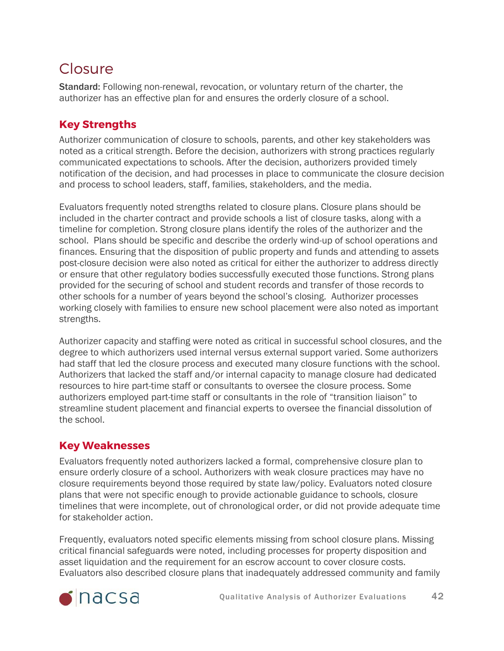## <span id="page-41-0"></span>Closure

Standard: Following non-renewal, revocation, or voluntary return of the charter, the authorizer has an effective plan for and ensures the orderly closure of a school.

### **Key Strengths**

Authorizer communication of closure to schools, parents, and other key stakeholders was noted as a critical strength. Before the decision, authorizers with strong practices regularly communicated expectations to schools. After the decision, authorizers provided timely notification of the decision, and had processes in place to communicate the closure decision and process to school leaders, staff, families, stakeholders, and the media.

Evaluators frequently noted strengths related to closure plans. Closure plans should be included in the charter contract and provide schools a list of closure tasks, along with a timeline for completion. Strong closure plans identify the roles of the authorizer and the school. Plans should be specific and describe the orderly wind-up of school operations and finances. Ensuring that the disposition of public property and funds and attending to assets post-closure decision were also noted as critical for either the authorizer to address directly or ensure that other regulatory bodies successfully executed those functions. Strong plans provided for the securing of school and student records and transfer of those records to other schools for a number of years beyond the school's closing. Authorizer processes working closely with families to ensure new school placement were also noted as important strengths.

Authorizer capacity and staffing were noted as critical in successful school closures, and the degree to which authorizers used internal versus external support varied. Some authorizers had staff that led the closure process and executed many closure functions with the school. Authorizers that lacked the staff and/or internal capacity to manage closure had dedicated resources to hire part-time staff or consultants to oversee the closure process. Some authorizers employed part-time staff or consultants in the role of "transition liaison" to streamline student placement and financial experts to oversee the financial dissolution of the school.

### **Key Weaknesses**

Evaluators frequently noted authorizers lacked a formal, comprehensive closure plan to ensure orderly closure of a school. Authorizers with weak closure practices may have no closure requirements beyond those required by state law/policy. Evaluators noted closure plans that were not specific enough to provide actionable guidance to schools, closure timelines that were incomplete, out of chronological order, or did not provide adequate time for stakeholder action.

Frequently, evaluators noted specific elements missing from school closure plans. Missing critical financial safeguards were noted, including processes for property disposition and asset liquidation and the requirement for an escrow account to cover closure costs. Evaluators also described closure plans that inadequately addressed community and family

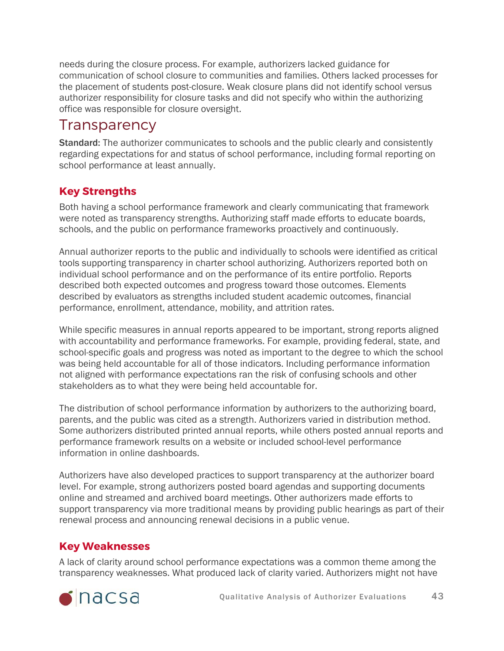needs during the closure process. For example, authorizers lacked guidance for communication of school closure to communities and families. Others lacked processes for the placement of students post-closure. Weak closure plans did not identify school versus authorizer responsibility for closure tasks and did not specify who within the authorizing office was responsible for closure oversight.

## <span id="page-42-0"></span>**Transparency**

Standard: The authorizer communicates to schools and the public clearly and consistently regarding expectations for and status of school performance, including formal reporting on school performance at least annually.

### **Key Strengths**

Both having a school performance framework and clearly communicating that framework were noted as transparency strengths. Authorizing staff made efforts to educate boards, schools, and the public on performance frameworks proactively and continuously.

Annual authorizer reports to the public and individually to schools were identified as critical tools supporting transparency in charter school authorizing. Authorizers reported both on individual school performance and on the performance of its entire portfolio. Reports described both expected outcomes and progress toward those outcomes. Elements described by evaluators as strengths included student academic outcomes, financial performance, enrollment, attendance, mobility, and attrition rates.

While specific measures in annual reports appeared to be important, strong reports aligned with accountability and performance frameworks. For example, providing federal, state, and school-specific goals and progress was noted as important to the degree to which the school was being held accountable for all of those indicators. Including performance information not aligned with performance expectations ran the risk of confusing schools and other stakeholders as to what they were being held accountable for.

The distribution of school performance information by authorizers to the authorizing board, parents, and the public was cited as a strength. Authorizers varied in distribution method. Some authorizers distributed printed annual reports, while others posted annual reports and performance framework results on a website or included school-level performance information in online dashboards.

Authorizers have also developed practices to support transparency at the authorizer board level. For example, strong authorizers posted board agendas and supporting documents online and streamed and archived board meetings. Other authorizers made efforts to support transparency via more traditional means by providing public hearings as part of their renewal process and announcing renewal decisions in a public venue.

### **Key Weaknesses**

A lack of clarity around school performance expectations was a common theme among the transparency weaknesses. What produced lack of clarity varied. Authorizers might not have

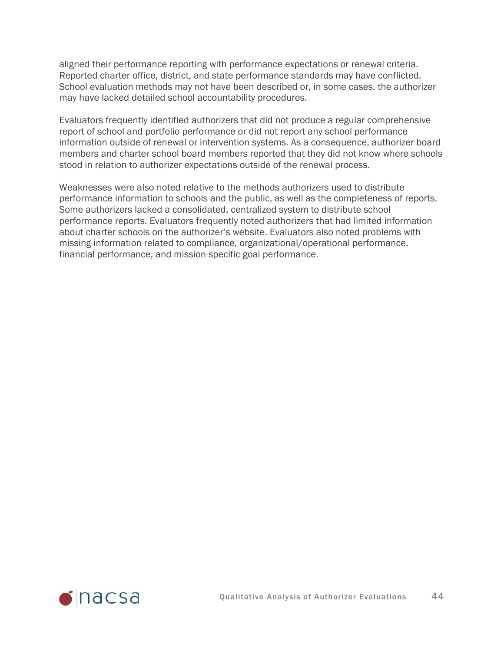aligned their performance reporting with performance expectations or renewal criteria. Reported charter office, district, and state performance standards may have conflicted. School evaluation methods may not have been described or, in some cases, the authorizer may have lacked detailed school accountability procedures.

Evaluators frequently identified authorizers that did not produce a regular comprehensive report of school and portfolio performance or did not report any school performance information outside of renewal or intervention systems. As a consequence, authorizer board members and charter school board members reported that they did not know where schools stood in relation to authorizer expectations outside of the renewal process.

Weaknesses were also noted relative to the methods authorizers used to distribute performance information to schools and the public, as well as the completeness of reports. Some authorizers lacked a consolidated, centralized system to distribute school performance reports. Evaluators frequently noted authorizers that had limited information about charter schools on the authorizer's website. Evaluators also noted problems with missing information related to compliance, organizational/operational performance, financial performance, and mission-specific goal performance.

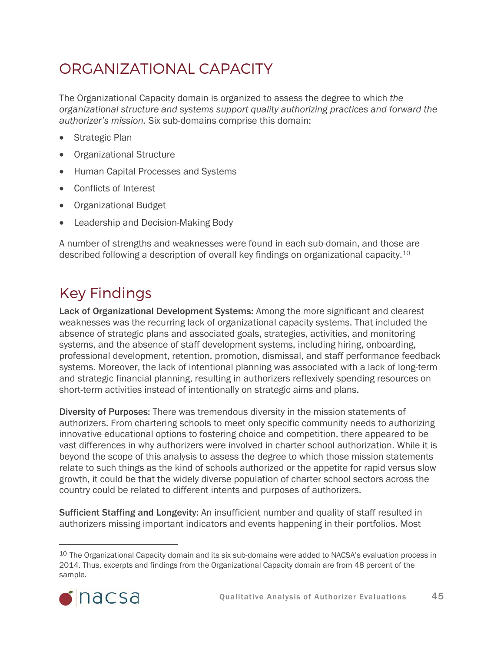# <span id="page-44-0"></span>ORGANIZATIONAL CAPACITY

The Organizational Capacity domain is organized to assess the degree to which *the organizational structure and systems support quality authorizing practices and forward the authorizer's mission.* Six sub-domains comprise this domain:

- Strategic Plan
- Organizational Structure
- Human Capital Processes and Systems
- Conflicts of Interest
- Organizational Budget
- Leadership and Decision-Making Body

A number of strengths and weaknesses were found in each sub-domain, and those are described following a description of overall key findings on organizational capacity.[10](#page-44-1)

# Key Findings

Lack of Organizational Development Systems: Among the more significant and clearest weaknesses was the recurring lack of organizational capacity systems. That included the absence of strategic plans and associated goals, strategies, activities, and monitoring systems, and the absence of staff development systems, including hiring, onboarding, professional development, retention, promotion, dismissal, and staff performance feedback systems. Moreover, the lack of intentional planning was associated with a lack of long-term and strategic financial planning, resulting in authorizers reflexively spending resources on short-term activities instead of intentionally on strategic aims and plans.

Diversity of Purposes: There was tremendous diversity in the mission statements of authorizers. From chartering schools to meet only specific community needs to authorizing innovative educational options to fostering choice and competition, there appeared to be vast differences in why authorizers were involved in charter school authorization. While it is beyond the scope of this analysis to assess the degree to which those mission statements relate to such things as the kind of schools authorized or the appetite for rapid versus slow growth, it could be that the widely diverse population of charter school sectors across the country could be related to different intents and purposes of authorizers.

Sufficient Staffing and Longevity: An insufficient number and quality of staff resulted in authorizers missing important indicators and events happening in their portfolios. Most

<span id="page-44-1"></span><sup>&</sup>lt;sup>10</sup> The Organizational Capacity domain and its six sub-domains were added to NACSA's evaluation process in 2014. Thus, excerpts and findings from the Organizational Capacity domain are from 48 percent of the sample.

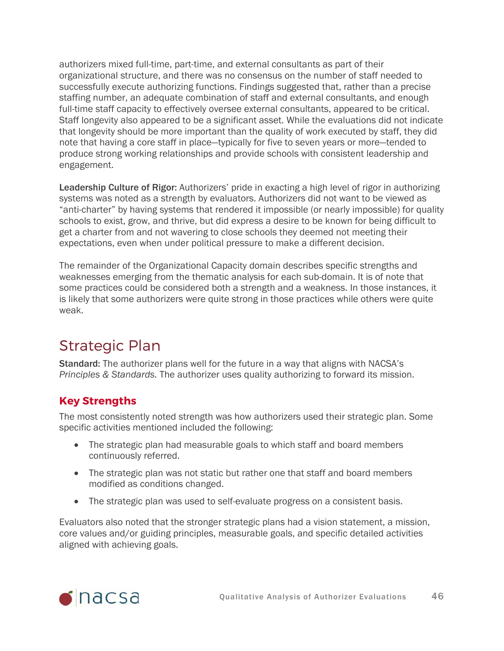authorizers mixed full-time, part-time, and external consultants as part of their organizational structure, and there was no consensus on the number of staff needed to successfully execute authorizing functions. Findings suggested that, rather than a precise staffing number, an adequate combination of staff and external consultants, and enough full-time staff capacity to effectively oversee external consultants, appeared to be critical. Staff longevity also appeared to be a significant asset. While the evaluations did not indicate that longevity should be more important than the quality of work executed by staff, they did note that having a core staff in place—typically for five to seven years or more—tended to produce strong working relationships and provide schools with consistent leadership and engagement.

Leadership Culture of Rigor: Authorizers' pride in exacting a high level of rigor in authorizing systems was noted as a strength by evaluators. Authorizers did not want to be viewed as "anti-charter" by having systems that rendered it impossible (or nearly impossible) for quality schools to exist, grow, and thrive, but did express a desire to be known for being difficult to get a charter from and not wavering to close schools they deemed not meeting their expectations, even when under political pressure to make a different decision.

The remainder of the Organizational Capacity domain describes specific strengths and weaknesses emerging from the thematic analysis for each sub-domain. It is of note that some practices could be considered both a strength and a weakness. In those instances, it is likely that some authorizers were quite strong in those practices while others were quite weak.

## <span id="page-45-0"></span>Strategic Plan

Standard: The authorizer plans well for the future in a way that aligns with NACSA's *Principles & Standards.* The authorizer uses quality authorizing to forward its mission.

### **Key Strengths**

The most consistently noted strength was how authorizers used their strategic plan. Some specific activities mentioned included the following:

- The strategic plan had measurable goals to which staff and board members continuously referred.
- The strategic plan was not static but rather one that staff and board members modified as conditions changed.
- The strategic plan was used to self-evaluate progress on a consistent basis.

Evaluators also noted that the stronger strategic plans had a vision statement, a mission, core values and/or guiding principles, measurable goals, and specific detailed activities aligned with achieving goals.

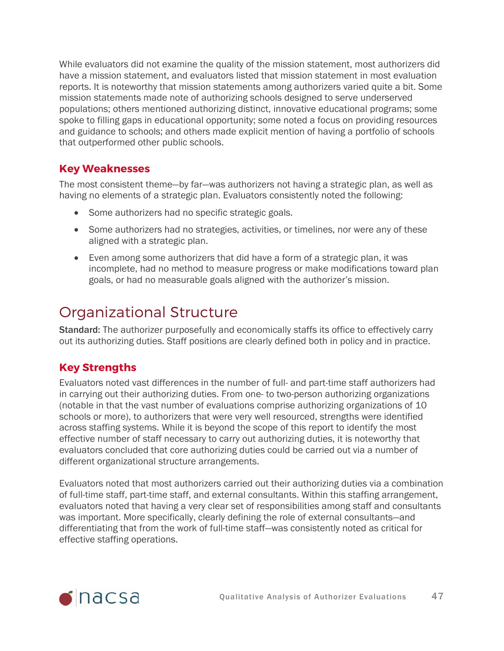While evaluators did not examine the quality of the mission statement, most authorizers did have a mission statement, and evaluators listed that mission statement in most evaluation reports. It is noteworthy that mission statements among authorizers varied quite a bit. Some mission statements made note of authorizing schools designed to serve underserved populations; others mentioned authorizing distinct, innovative educational programs; some spoke to filling gaps in educational opportunity; some noted a focus on providing resources and guidance to schools; and others made explicit mention of having a portfolio of schools that outperformed other public schools.

#### **Key Weaknesses**

The most consistent theme—by far—was authorizers not having a strategic plan, as well as having no elements of a strategic plan. Evaluators consistently noted the following:

- Some authorizers had no specific strategic goals.
- Some authorizers had no strategies, activities, or timelines, nor were any of these aligned with a strategic plan.
- Even among some authorizers that did have a form of a strategic plan, it was incomplete, had no method to measure progress or make modifications toward plan goals, or had no measurable goals aligned with the authorizer's mission.

## <span id="page-46-0"></span>Organizational Structure

Standard: The authorizer purposefully and economically staffs its office to effectively carry out its authorizing duties. Staff positions are clearly defined both in policy and in practice.

### **Key Strengths**

Evaluators noted vast differences in the number of full- and part-time staff authorizers had in carrying out their authorizing duties. From one- to two-person authorizing organizations (notable in that the vast number of evaluations comprise authorizing organizations of 10 schools or more), to authorizers that were very well resourced, strengths were identified across staffing systems. While it is beyond the scope of this report to identify the most effective number of staff necessary to carry out authorizing duties, it is noteworthy that evaluators concluded that core authorizing duties could be carried out via a number of different organizational structure arrangements.

Evaluators noted that most authorizers carried out their authorizing duties via a combination of full-time staff, part-time staff, and external consultants. Within this staffing arrangement, evaluators noted that having a very clear set of responsibilities among staff and consultants was important. More specifically, clearly defining the role of external consultants—and differentiating that from the work of full-time staff—was consistently noted as critical for effective staffing operations.

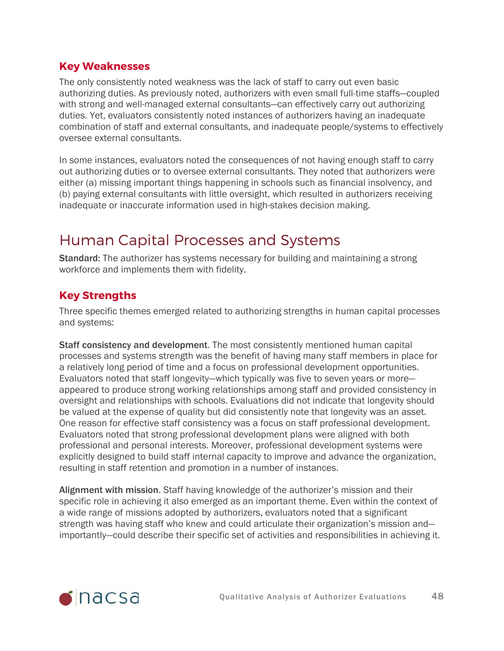#### **Key Weaknesses**

The only consistently noted weakness was the lack of staff to carry out even basic authorizing duties. As previously noted, authorizers with even small full-time staffs—coupled with strong and well-managed external consultants—can effectively carry out authorizing duties. Yet, evaluators consistently noted instances of authorizers having an inadequate combination of staff and external consultants, and inadequate people/systems to effectively oversee external consultants.

In some instances, evaluators noted the consequences of not having enough staff to carry out authorizing duties or to oversee external consultants. They noted that authorizers were either (a) missing important things happening in schools such as financial insolvency, and (b) paying external consultants with little oversight, which resulted in authorizers receiving inadequate or inaccurate information used in high-stakes decision making.

## <span id="page-47-0"></span>Human Capital Processes and Systems

Standard: The authorizer has systems necessary for building and maintaining a strong workforce and implements them with fidelity.

#### **Key Strengths**

Three specific themes emerged related to authorizing strengths in human capital processes and systems:

Staff consistency and development. The most consistently mentioned human capital processes and systems strength was the benefit of having many staff members in place for a relatively long period of time and a focus on professional development opportunities. Evaluators noted that staff longevity—which typically was five to seven years or more appeared to produce strong working relationships among staff and provided consistency in oversight and relationships with schools. Evaluations did not indicate that longevity should be valued at the expense of quality but did consistently note that longevity was an asset. One reason for effective staff consistency was a focus on staff professional development. Evaluators noted that strong professional development plans were aligned with both professional and personal interests. Moreover, professional development systems were explicitly designed to build staff internal capacity to improve and advance the organization, resulting in staff retention and promotion in a number of instances.

Alignment with mission. Staff having knowledge of the authorizer's mission and their specific role in achieving it also emerged as an important theme. Even within the context of a wide range of missions adopted by authorizers, evaluators noted that a significant strength was having staff who knew and could articulate their organization's mission and importantly—could describe their specific set of activities and responsibilities in achieving it.

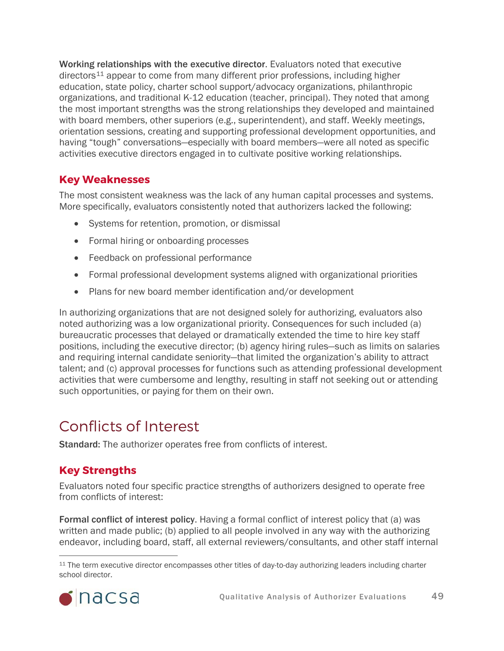Working relationships with the executive director. Evaluators noted that executive directors<sup>[11](#page-48-1)</sup> appear to come from many different prior professions, including higher education, state policy, charter school support/advocacy organizations, philanthropic organizations, and traditional K-12 education (teacher, principal). They noted that among the most important strengths was the strong relationships they developed and maintained with board members, other superiors (e.g., superintendent), and staff. Weekly meetings, orientation sessions, creating and supporting professional development opportunities, and having "tough" conversations—especially with board members—were all noted as specific activities executive directors engaged in to cultivate positive working relationships.

#### **Key Weaknesses**

The most consistent weakness was the lack of any human capital processes and systems. More specifically, evaluators consistently noted that authorizers lacked the following:

- Systems for retention, promotion, or dismissal
- Formal hiring or onboarding processes
- Feedback on professional performance
- Formal professional development systems aligned with organizational priorities
- Plans for new board member identification and/or development

In authorizing organizations that are not designed solely for authorizing, evaluators also noted authorizing was a low organizational priority. Consequences for such included (a) bureaucratic processes that delayed or dramatically extended the time to hire key staff positions, including the executive director; (b) agency hiring rules—such as limits on salaries and requiring internal candidate seniority—that limited the organization's ability to attract talent; and (c) approval processes for functions such as attending professional development activities that were cumbersome and lengthy, resulting in staff not seeking out or attending such opportunities, or paying for them on their own.

### <span id="page-48-0"></span>Conflicts of Interest

Standard: The authorizer operates free from conflicts of interest.

### **Key Strengths**

Evaluators noted four specific practice strengths of authorizers designed to operate free from conflicts of interest:

Formal conflict of interest policy. Having a formal conflict of interest policy that (a) was written and made public; (b) applied to all people involved in any way with the authorizing endeavor, including board, staff, all external reviewers/consultants, and other staff internal

<span id="page-48-1"></span><sup>&</sup>lt;sup>11</sup> The term executive director encompasses other titles of day-to-day authorizing leaders including charter school director.

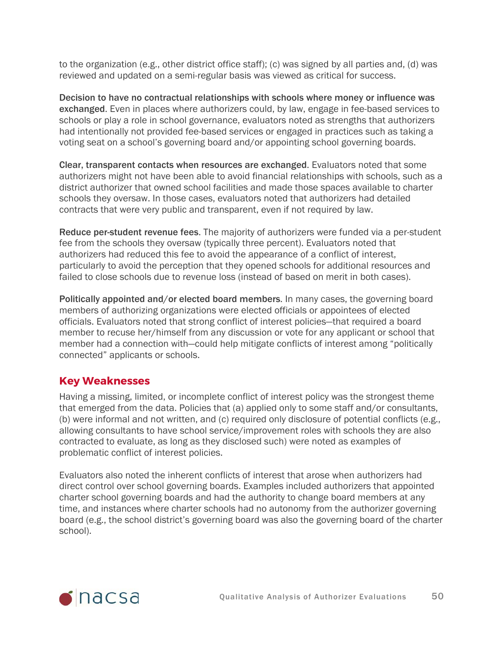to the organization (e.g., other district office staff); (c) was signed by all parties and, (d) was reviewed and updated on a semi-regular basis was viewed as critical for success.

Decision to have no contractual relationships with schools where money or influence was exchanged. Even in places where authorizers could, by law, engage in fee-based services to schools or play a role in school governance, evaluators noted as strengths that authorizers had intentionally not provided fee-based services or engaged in practices such as taking a voting seat on a school's governing board and/or appointing school governing boards.

Clear, transparent contacts when resources are exchanged. Evaluators noted that some authorizers might not have been able to avoid financial relationships with schools, such as a district authorizer that owned school facilities and made those spaces available to charter schools they oversaw. In those cases, evaluators noted that authorizers had detailed contracts that were very public and transparent, even if not required by law.

Reduce per-student revenue fees. The majority of authorizers were funded via a per-student fee from the schools they oversaw (typically three percent). Evaluators noted that authorizers had reduced this fee to avoid the appearance of a conflict of interest, particularly to avoid the perception that they opened schools for additional resources and failed to close schools due to revenue loss (instead of based on merit in both cases).

Politically appointed and/or elected board members. In many cases, the governing board members of authorizing organizations were elected officials or appointees of elected officials. Evaluators noted that strong conflict of interest policies—that required a board member to recuse her/himself from any discussion or vote for any applicant or school that member had a connection with—could help mitigate conflicts of interest among "politically connected" applicants or schools.

#### **Key Weaknesses**

Having a missing, limited, or incomplete conflict of interest policy was the strongest theme that emerged from the data. Policies that (a) applied only to some staff and/or consultants, (b) were informal and not written, and (c) required only disclosure of potential conflicts (e.g., allowing consultants to have school service/improvement roles with schools they are also contracted to evaluate, as long as they disclosed such) were noted as examples of problematic conflict of interest policies.

Evaluators also noted the inherent conflicts of interest that arose when authorizers had direct control over school governing boards. Examples included authorizers that appointed charter school governing boards and had the authority to change board members at any time, and instances where charter schools had no autonomy from the authorizer governing board (e.g., the school district's governing board was also the governing board of the charter school).

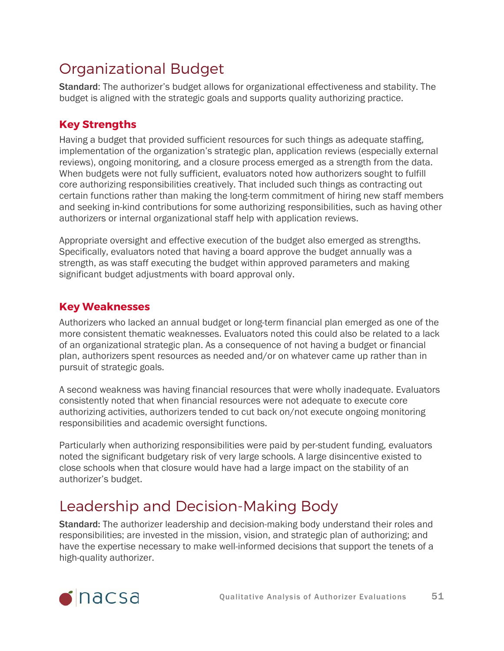## <span id="page-50-0"></span>Organizational Budget

Standard: The authorizer's budget allows for organizational effectiveness and stability. The budget is aligned with the strategic goals and supports quality authorizing practice.

### **Key Strengths**

Having a budget that provided sufficient resources for such things as adequate staffing, implementation of the organization's strategic plan, application reviews (especially external reviews), ongoing monitoring, and a closure process emerged as a strength from the data. When budgets were not fully sufficient, evaluators noted how authorizers sought to fulfill core authorizing responsibilities creatively. That included such things as contracting out certain functions rather than making the long-term commitment of hiring new staff members and seeking in-kind contributions for some authorizing responsibilities, such as having other authorizers or internal organizational staff help with application reviews.

Appropriate oversight and effective execution of the budget also emerged as strengths. Specifically, evaluators noted that having a board approve the budget annually was a strength, as was staff executing the budget within approved parameters and making significant budget adjustments with board approval only.

#### **Key Weaknesses**

Authorizers who lacked an annual budget or long-term financial plan emerged as one of the more consistent thematic weaknesses. Evaluators noted this could also be related to a lack of an organizational strategic plan. As a consequence of not having a budget or financial plan, authorizers spent resources as needed and/or on whatever came up rather than in pursuit of strategic goals.

A second weakness was having financial resources that were wholly inadequate. Evaluators consistently noted that when financial resources were not adequate to execute core authorizing activities, authorizers tended to cut back on/not execute ongoing monitoring responsibilities and academic oversight functions.

Particularly when authorizing responsibilities were paid by per-student funding, evaluators noted the significant budgetary risk of very large schools. A large disincentive existed to close schools when that closure would have had a large impact on the stability of an authorizer's budget.

# <span id="page-50-1"></span>Leadership and Decision-Making Body

Standard: The authorizer leadership and decision-making body understand their roles and responsibilities; are invested in the mission, vision, and strategic plan of authorizing; and have the expertise necessary to make well-informed decisions that support the tenets of a high-quality authorizer.

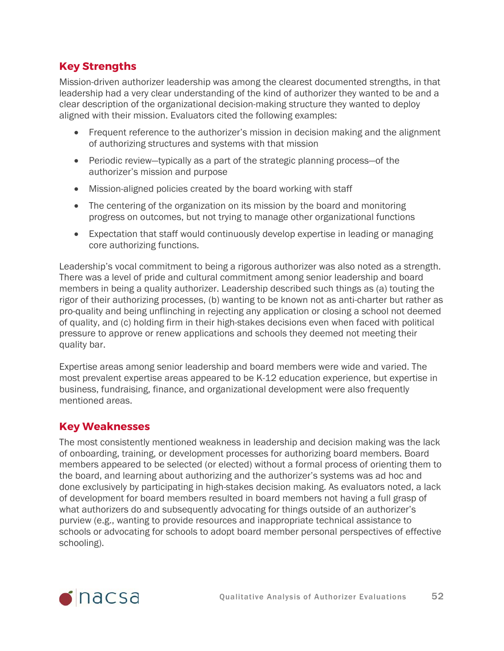### **Key Strengths**

Mission-driven authorizer leadership was among the clearest documented strengths, in that leadership had a very clear understanding of the kind of authorizer they wanted to be and a clear description of the organizational decision-making structure they wanted to deploy aligned with their mission. Evaluators cited the following examples:

- Frequent reference to the authorizer's mission in decision making and the alignment of authorizing structures and systems with that mission
- Periodic review—typically as a part of the strategic planning process—of the authorizer's mission and purpose
- Mission-aligned policies created by the board working with staff
- The centering of the organization on its mission by the board and monitoring progress on outcomes, but not trying to manage other organizational functions
- Expectation that staff would continuously develop expertise in leading or managing core authorizing functions.

Leadership's vocal commitment to being a rigorous authorizer was also noted as a strength. There was a level of pride and cultural commitment among senior leadership and board members in being a quality authorizer. Leadership described such things as (a) touting the rigor of their authorizing processes, (b) wanting to be known not as anti-charter but rather as pro-quality and being unflinching in rejecting any application or closing a school not deemed of quality, and (c) holding firm in their high-stakes decisions even when faced with political pressure to approve or renew applications and schools they deemed not meeting their quality bar.

Expertise areas among senior leadership and board members were wide and varied. The most prevalent expertise areas appeared to be K-12 education experience, but expertise in business, fundraising, finance, and organizational development were also frequently mentioned areas.

#### **Key Weaknesses**

The most consistently mentioned weakness in leadership and decision making was the lack of onboarding, training, or development processes for authorizing board members. Board members appeared to be selected (or elected) without a formal process of orienting them to the board, and learning about authorizing and the authorizer's systems was ad hoc and done exclusively by participating in high-stakes decision making. As evaluators noted, a lack of development for board members resulted in board members not having a full grasp of what authorizers do and subsequently advocating for things outside of an authorizer's purview (e.g., wanting to provide resources and inappropriate technical assistance to schools or advocating for schools to adopt board member personal perspectives of effective schooling).

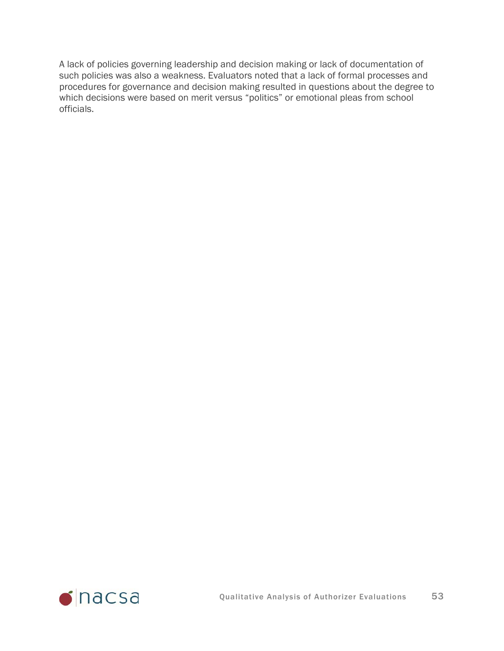A lack of policies governing leadership and decision making or lack of documentation of such policies was also a weakness. Evaluators noted that a lack of formal processes and procedures for governance and decision making resulted in questions about the degree to which decisions were based on merit versus "politics" or emotional pleas from school officials.

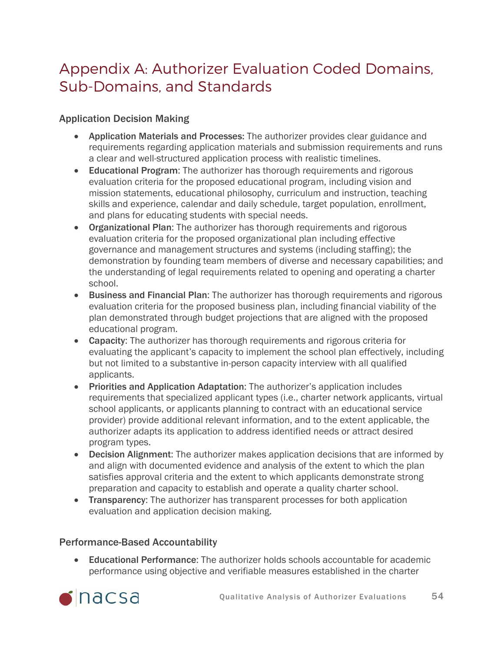# <span id="page-53-0"></span>Appendix A: Authorizer Evaluation Coded Domains, Sub-Domains, and Standards

#### Application Decision Making

- Application Materials and Processes: The authorizer provides clear guidance and requirements regarding application materials and submission requirements and runs a clear and well-structured application process with realistic timelines.
- Educational Program: The authorizer has thorough requirements and rigorous evaluation criteria for the proposed educational program, including vision and mission statements, educational philosophy, curriculum and instruction, teaching skills and experience, calendar and daily schedule, target population, enrollment, and plans for educating students with special needs.
- Organizational Plan: The authorizer has thorough requirements and rigorous evaluation criteria for the proposed organizational plan including effective governance and management structures and systems (including staffing); the demonstration by founding team members of diverse and necessary capabilities; and the understanding of legal requirements related to opening and operating a charter school.
- Business and Financial Plan: The authorizer has thorough requirements and rigorous evaluation criteria for the proposed business plan, including financial viability of the plan demonstrated through budget projections that are aligned with the proposed educational program.
- Capacity: The authorizer has thorough requirements and rigorous criteria for evaluating the applicant's capacity to implement the school plan effectively, including but not limited to a substantive in-person capacity interview with all qualified applicants.
- Priorities and Application Adaptation: The authorizer's application includes requirements that specialized applicant types (i.e., charter network applicants, virtual school applicants, or applicants planning to contract with an educational service provider) provide additional relevant information, and to the extent applicable, the authorizer adapts its application to address identified needs or attract desired program types.
- Decision Alignment: The authorizer makes application decisions that are informed by and align with documented evidence and analysis of the extent to which the plan satisfies approval criteria and the extent to which applicants demonstrate strong preparation and capacity to establish and operate a quality charter school.
- Transparency: The authorizer has transparent processes for both application evaluation and application decision making.

#### Performance-Based Accountability

• Educational Performance: The authorizer holds schools accountable for academic performance using objective and verifiable measures established in the charter

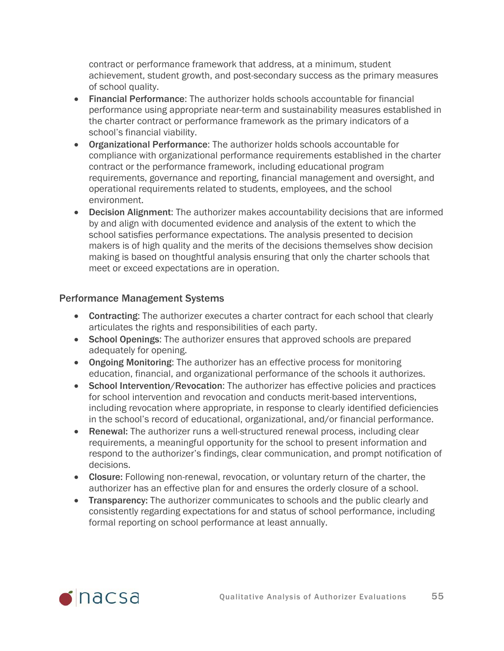contract or performance framework that address, at a minimum, student achievement, student growth, and post-secondary success as the primary measures of school quality.

- Financial Performance: The authorizer holds schools accountable for financial performance using appropriate near-term and sustainability measures established in the charter contract or performance framework as the primary indicators of a school's financial viability.
- Organizational Performance: The authorizer holds schools accountable for compliance with organizational performance requirements established in the charter contract or the performance framework, including educational program requirements, governance and reporting, financial management and oversight, and operational requirements related to students, employees, and the school environment.
- Decision Alignment: The authorizer makes accountability decisions that are informed by and align with documented evidence and analysis of the extent to which the school satisfies performance expectations. The analysis presented to decision makers is of high quality and the merits of the decisions themselves show decision making is based on thoughtful analysis ensuring that only the charter schools that meet or exceed expectations are in operation.

#### Performance Management Systems

- Contracting: The authorizer executes a charter contract for each school that clearly articulates the rights and responsibilities of each party.
- School Openings: The authorizer ensures that approved schools are prepared adequately for opening.
- Ongoing Monitoring: The authorizer has an effective process for monitoring education, financial, and organizational performance of the schools it authorizes.
- School Intervention/Revocation: The authorizer has effective policies and practices for school intervention and revocation and conducts merit-based interventions, including revocation where appropriate, in response to clearly identified deficiencies in the school's record of educational, organizational, and/or financial performance.
- Renewal: The authorizer runs a well-structured renewal process, including clear requirements, a meaningful opportunity for the school to present information and respond to the authorizer's findings, clear communication, and prompt notification of decisions.
- Closure: Following non-renewal, revocation, or voluntary return of the charter, the authorizer has an effective plan for and ensures the orderly closure of a school.
- Transparency: The authorizer communicates to schools and the public clearly and consistently regarding expectations for and status of school performance, including formal reporting on school performance at least annually.

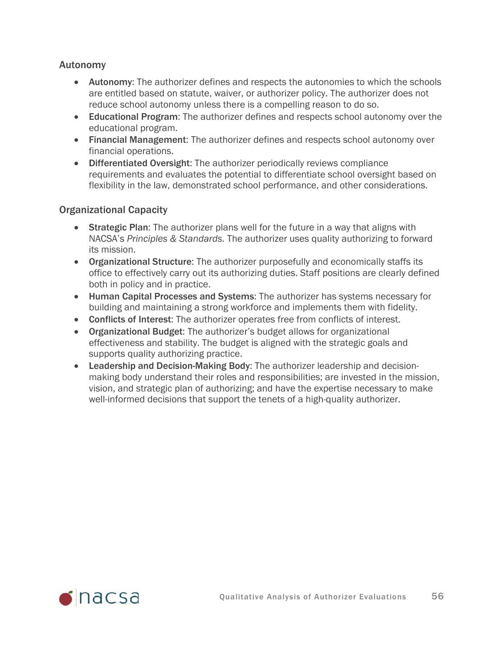#### Autonomy

- Autonomy: The authorizer defines and respects the autonomies to which the schools are entitled based on statute, waiver, or authorizer policy. The authorizer does not reduce school autonomy unless there is a compelling reason to do so.
- Educational Program: The authorizer defines and respects school autonomy over the educational program.
- Financial Management: The authorizer defines and respects school autonomy over financial operations.
- Differentiated Oversight: The authorizer periodically reviews compliance requirements and evaluates the potential to differentiate school oversight based on flexibility in the law, demonstrated school performance, and other considerations.

#### Organizational Capacity

- Strategic Plan: The authorizer plans well for the future in a way that aligns with NACSA's *Principles & Standards.* The authorizer uses quality authorizing to forward its mission.
- Organizational Structure: The authorizer purposefully and economically staffs its office to effectively carry out its authorizing duties. Staff positions are clearly defined both in policy and in practice.
- Human Capital Processes and Systems: The authorizer has systems necessary for building and maintaining a strong workforce and implements them with fidelity.
- Conflicts of Interest: The authorizer operates free from conflicts of interest.
- Organizational Budget: The authorizer's budget allows for organizational effectiveness and stability. The budget is aligned with the strategic goals and supports quality authorizing practice.
- Leadership and Decision-Making Body: The authorizer leadership and decisionmaking body understand their roles and responsibilities; are invested in the mission, vision, and strategic plan of authorizing; and have the expertise necessary to make well-informed decisions that support the tenets of a high-quality authorizer.